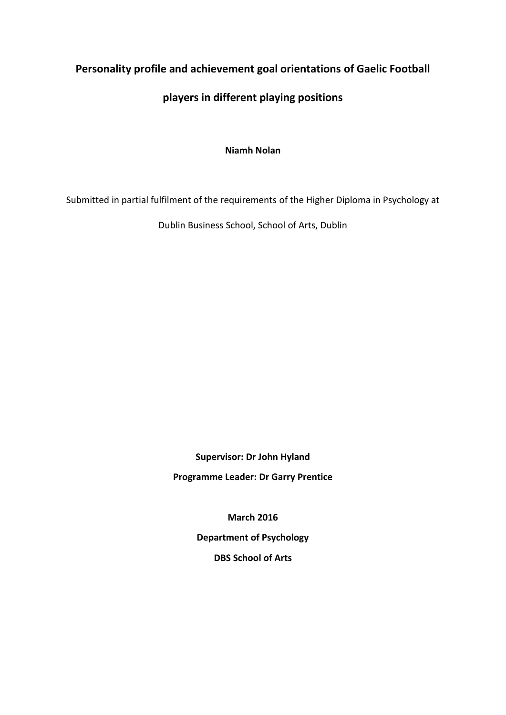# **Personality profile and achievement goal orientations of Gaelic Football**

# **players in different playing positions**

**Niamh Nolan**

Submitted in partial fulfilment of the requirements of the Higher Diploma in Psychology at

Dublin Business School, School of Arts, Dublin

**Supervisor: Dr John Hyland Programme Leader: Dr Garry Prentice**

**March 2016**

**Department of Psychology DBS School of Arts**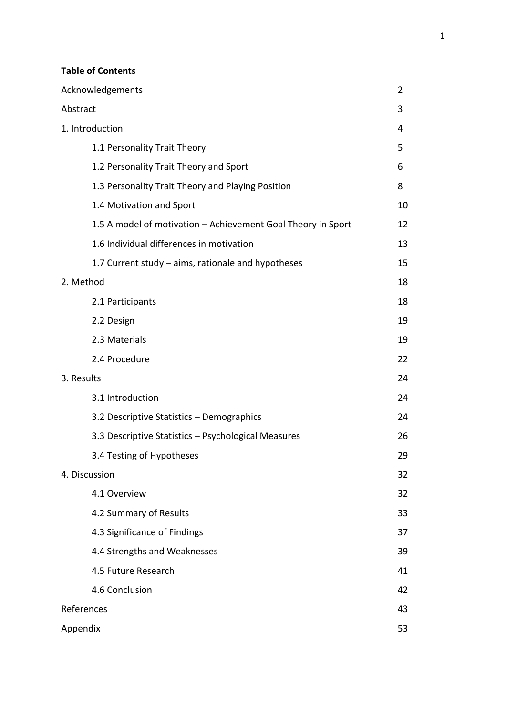# **Table of Contents**

| Acknowledgements                                             | 2  |
|--------------------------------------------------------------|----|
| Abstract                                                     | 3  |
| 1. Introduction                                              | 4  |
| 1.1 Personality Trait Theory                                 | 5  |
| 1.2 Personality Trait Theory and Sport                       | 6  |
| 1.3 Personality Trait Theory and Playing Position            | 8  |
| 1.4 Motivation and Sport                                     | 10 |
| 1.5 A model of motivation - Achievement Goal Theory in Sport | 12 |
| 1.6 Individual differences in motivation                     | 13 |
| 1.7 Current study – aims, rationale and hypotheses           | 15 |
| 2. Method                                                    | 18 |
| 2.1 Participants                                             | 18 |
| 2.2 Design                                                   | 19 |
| 2.3 Materials                                                | 19 |
| 2.4 Procedure                                                | 22 |
| 3. Results                                                   | 24 |
| 3.1 Introduction                                             | 24 |
| 3.2 Descriptive Statistics - Demographics                    | 24 |
| 3.3 Descriptive Statistics - Psychological Measures          | 26 |
| 3.4 Testing of Hypotheses                                    | 29 |
| 4. Discussion                                                | 32 |
| 4.1 Overview                                                 | 32 |
| 4.2 Summary of Results                                       | 33 |
| 4.3 Significance of Findings                                 | 37 |
| 4.4 Strengths and Weaknesses                                 | 39 |
| 4.5 Future Research                                          | 41 |
| 4.6 Conclusion                                               | 42 |
| References                                                   | 43 |
| Appendix                                                     | 53 |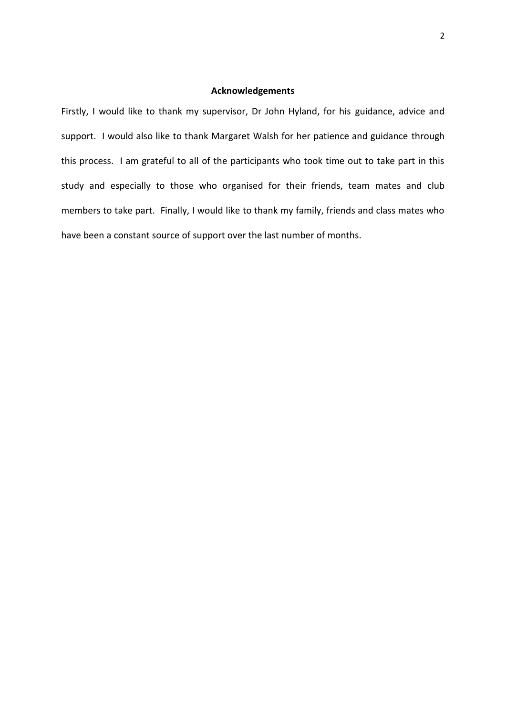# **Acknowledgements**

Firstly, I would like to thank my supervisor, Dr John Hyland, for his guidance, advice and support. I would also like to thank Margaret Walsh for her patience and guidance through this process. I am grateful to all of the participants who took time out to take part in this study and especially to those who organised for their friends, team mates and club members to take part. Finally, I would like to thank my family, friends and class mates who have been a constant source of support over the last number of months.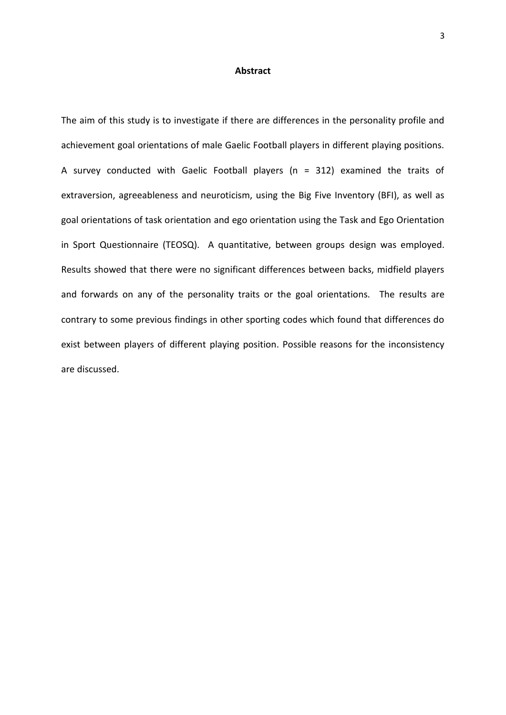## **Abstract**

The aim of this study is to investigate if there are differences in the personality profile and achievement goal orientations of male Gaelic Football players in different playing positions. A survey conducted with Gaelic Football players (n = 312) examined the traits of extraversion, agreeableness and neuroticism, using the Big Five Inventory (BFI), as well as goal orientations of task orientation and ego orientation using the Task and Ego Orientation in Sport Questionnaire (TEOSQ). A quantitative, between groups design was employed. Results showed that there were no significant differences between backs, midfield players and forwards on any of the personality traits or the goal orientations. The results are contrary to some previous findings in other sporting codes which found that differences do exist between players of different playing position. Possible reasons for the inconsistency are discussed.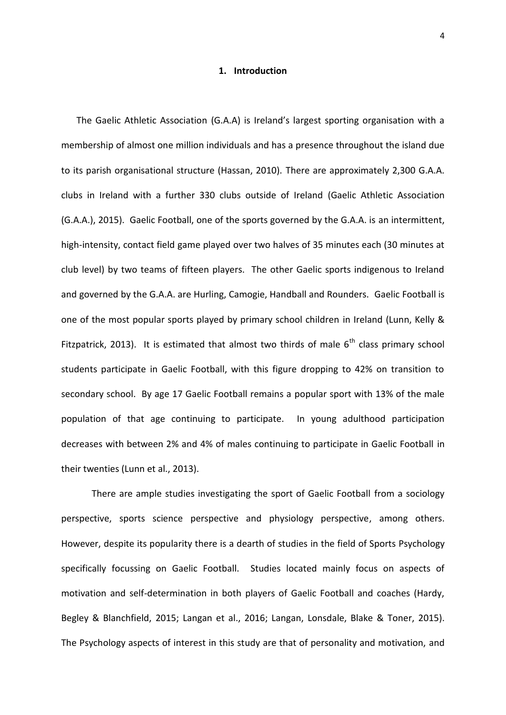## **1. Introduction**

The Gaelic Athletic Association (G.A.A) is Ireland's largest sporting organisation with a membership of almost one million individuals and has a presence throughout the island due to its parish organisational structure (Hassan, 2010). There are approximately 2,300 G.A.A. clubs in Ireland with a further 330 clubs outside of Ireland (Gaelic Athletic Association (G.A.A.), 2015). Gaelic Football, one of the sports governed by the G.A.A. is an intermittent, high-intensity, contact field game played over two halves of 35 minutes each (30 minutes at club level) by two teams of fifteen players. The other Gaelic sports indigenous to Ireland and governed by the G.A.A. are Hurling, Camogie, Handball and Rounders. Gaelic Football is one of the most popular sports played by primary school children in Ireland (Lunn, Kelly & Fitzpatrick, 2013). It is estimated that almost two thirds of male  $6<sup>th</sup>$  class primary school students participate in Gaelic Football, with this figure dropping to 42% on transition to secondary school. By age 17 Gaelic Football remains a popular sport with 13% of the male population of that age continuing to participate. In young adulthood participation decreases with between 2% and 4% of males continuing to participate in Gaelic Football in their twenties (Lunn et al., 2013).

There are ample studies investigating the sport of Gaelic Football from a sociology perspective, sports science perspective and physiology perspective, among others. However, despite its popularity there is a dearth of studies in the field of Sports Psychology specifically focussing on Gaelic Football. Studies located mainly focus on aspects of motivation and self-determination in both players of Gaelic Football and coaches (Hardy, Begley & Blanchfield, 2015; Langan et al., 2016; Langan, Lonsdale, Blake & Toner, 2015). The Psychology aspects of interest in this study are that of personality and motivation, and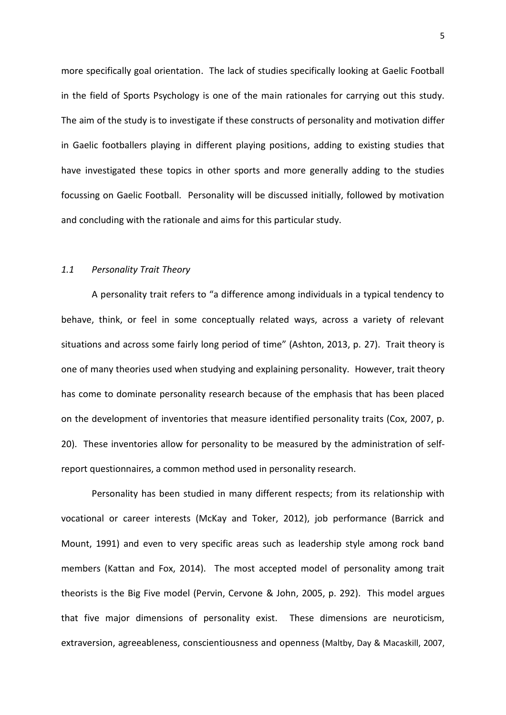more specifically goal orientation. The lack of studies specifically looking at Gaelic Football in the field of Sports Psychology is one of the main rationales for carrying out this study. The aim of the study is to investigate if these constructs of personality and motivation differ in Gaelic footballers playing in different playing positions, adding to existing studies that have investigated these topics in other sports and more generally adding to the studies focussing on Gaelic Football. Personality will be discussed initially, followed by motivation and concluding with the rationale and aims for this particular study.

#### *1.1 Personality Trait Theory*

A personality trait refers to "a difference among individuals in a typical tendency to behave, think, or feel in some conceptually related ways, across a variety of relevant situations and across some fairly long period of time" (Ashton, 2013, p. 27). Trait theory is one of many theories used when studying and explaining personality. However, trait theory has come to dominate personality research because of the emphasis that has been placed on the development of inventories that measure identified personality traits (Cox, 2007, p. 20). These inventories allow for personality to be measured by the administration of selfreport questionnaires, a common method used in personality research.

Personality has been studied in many different respects; from its relationship with vocational or career interests (McKay and Toker, 2012), job performance (Barrick and Mount, 1991) and even to very specific areas such as leadership style among rock band members (Kattan and Fox, 2014). The most accepted model of personality among trait theorists is the Big Five model (Pervin, Cervone & John, 2005, p. 292). This model argues that five major dimensions of personality exist. These dimensions are neuroticism, extraversion, agreeableness, conscientiousness and openness (Maltby, Day & Macaskill, 2007,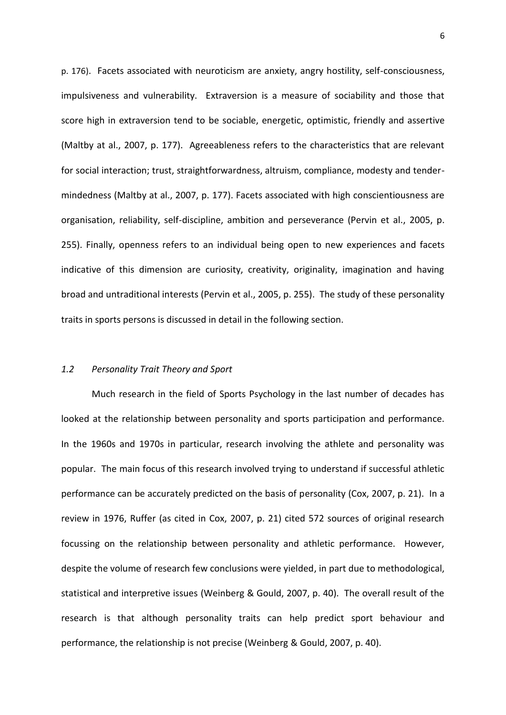p. 176). Facets associated with neuroticism are anxiety, angry hostility, self-consciousness, impulsiveness and vulnerability. Extraversion is a measure of sociability and those that score high in extraversion tend to be sociable, energetic, optimistic, friendly and assertive (Maltby at al., 2007, p. 177). Agreeableness refers to the characteristics that are relevant for social interaction; trust, straightforwardness, altruism, compliance, modesty and tender mindedness (Maltby at al., 2007, p. 177). Facets associated with high conscientiousness are organisation, reliability, self-discipline, ambition and perseverance (Pervin et al., 2005, p. 255). Finally, openness refers to an individual being open to new experiences and facets indicative of this dimension are curiosity, creativity, originality, imagination and having broad and untraditional interests (Pervin et al., 2005, p. 255). The study of these personality traits in sports persons is discussed in detail in the following section.

## *1.2 Personality Trait Theory and Sport*

Much research in the field of Sports Psychology in the last number of decades has looked at the relationship between personality and sports participation and performance. In the 1960s and 1970s in particular, research involving the athlete and personality was popular. The main focus of this research involved trying to understand if successful athletic performance can be accurately predicted on the basis of personality (Cox, 2007, p. 21). In a review in 1976, Ruffer (as cited in Cox, 2007, p. 21) cited 572 sources of original research focussing on the relationship between personality and athletic performance. However, despite the volume of research few conclusions were yielded, in part due to methodological, statistical and interpretive issues (Weinberg & Gould, 2007, p. 40). The overall result of the research is that although personality traits can help predict sport behaviour and performance, the relationship is not precise (Weinberg & Gould, 2007, p. 40).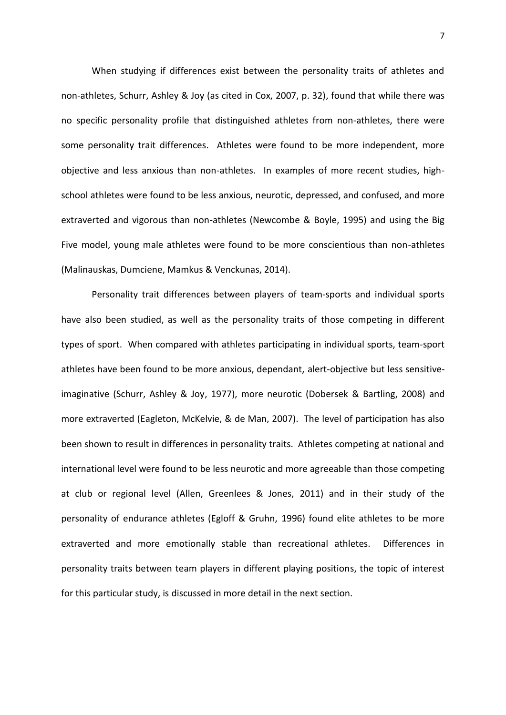When studying if differences exist between the personality traits of athletes and non-athletes, Schurr, Ashley & Joy (as cited in Cox, 2007, p. 32), found that while there was no specific personality profile that distinguished athletes from non-athletes, there were some personality trait differences. Athletes were found to be more independent, more objective and less anxious than non-athletes. In examples of more recent studies, high school athletes were found to be less anxious, neurotic, depressed, and confused, and more extraverted and vigorous than non-athletes (Newcombe & Boyle, 1995) and using the Big Five model, young male athletes were found to be more conscientious than non-athletes (Malinauskas, Dumciene, Mamkus & Venckunas, 2014).

Personality trait differences between players of team-sports and individual sports have also been studied, as well as the personality traits of those competing in different types of sport. When compared with athletes participating in individual sports, team-sport athletes have been found to be more anxious, dependant, alert-objective but less sensitiveimaginative (Schurr, Ashley & Joy, 1977), more neurotic (Dobersek & Bartling, 2008) and more extraverted (Eagleton, McKelvie, & de Man, 2007). The level of participation has also been shown to result in differences in personality traits. Athletes competing at national and international level were found to be less neurotic and more agreeable than those competing at club or regional level (Allen, Greenlees & Jones, 2011) and in their study of the personality of endurance athletes (Egloff & Gruhn, 1996) found elite athletes to be more extraverted and more emotionally stable than recreational athletes. Differences in personality traits between team players in different playing positions, the topic of interest for this particular study, is discussed in more detail in the next section.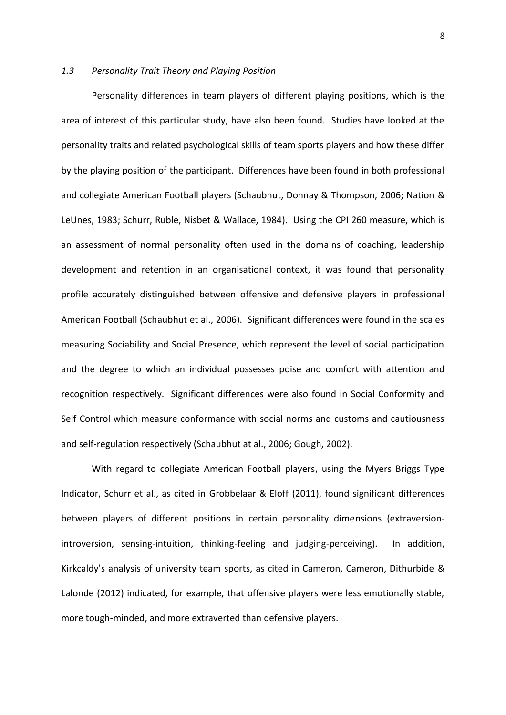# *1.3 Personality Trait Theory and Playing Position*

Personality differences in team players of different playing positions, which is the area of interest of this particular study, have also been found. Studies have looked at the personality traits and related psychological skills of team sports players and how these differ by the playing position of the participant. Differences have been found in both professional and collegiate American Football players (Schaubhut, Donnay & Thompson, 2006; Nation & LeUnes, 1983; Schurr, Ruble, Nisbet & Wallace, 1984). Using the CPI 260 measure, which is an assessment of normal personality often used in the domains of coaching, leadership development and retention in an organisational context, it was found that personality profile accurately distinguished between offensive and defensive players in professional American Football (Schaubhut et al., 2006). Significant differences were found in the scales measuring Sociability and Social Presence, which represent the level of social participation and the degree to which an individual possesses poise and comfort with attention and recognition respectively. Significant differences were also found in Social Conformity and Self Control which measure conformance with social norms and customs and cautiousness and self-regulation respectively (Schaubhut at al., 2006; Gough, 2002).

With regard to collegiate American Football players, using the Myers Briggs Type Indicator, Schurr et al., as cited in Grobbelaar & Eloff (2011), found significant differences between players of different positions in certain personality dimensions (extraversionintroversion, sensing-intuition, thinking-feeling and judging-perceiving). In addition, Kirkcaldy's analysis of university team sports, as cited in Cameron, Cameron, Dithurbide & Lalonde (2012) indicated, for example, that offensive players were less emotionally stable, more tough-minded, and more extraverted than defensive players.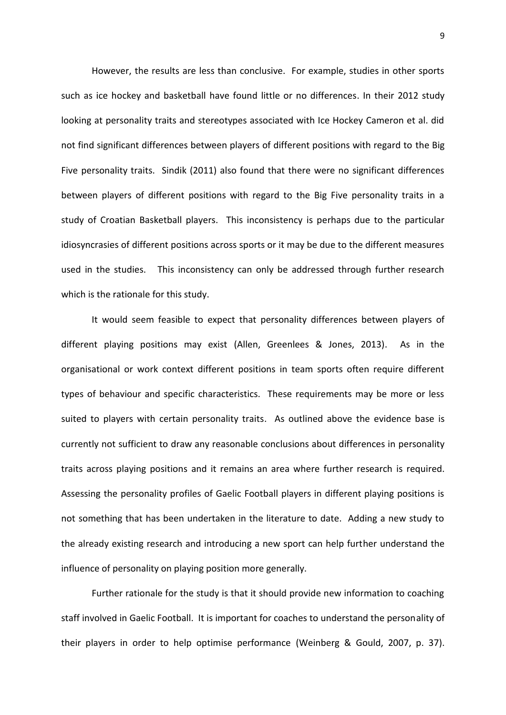However, the results are less than conclusive. For example, studies in other sports such as ice hockey and basketball have found little or no differences. In their 2012 study looking at personality traits and stereotypes associated with Ice Hockey Cameron et al. did not find significant differences between players of different positions with regard to the Big Five personality traits. Sindik (2011) also found that there were no significant differences between players of different positions with regard to the Big Five personality traits in a study of Croatian Basketball players. This inconsistency is perhaps due to the particular idiosyncrasies of different positions across sports or it may be due to the different measures used in the studies. This inconsistency can only be addressed through further research which is the rationale for this study.

It would seem feasible to expect that personality differences between players of different playing positions may exist (Allen, Greenlees & Jones, 2013). As in the organisational or work context different positions in team sports often require different types of behaviour and specific characteristics. These requirements may be more or less suited to players with certain personality traits. As outlined above the evidence base is currently not sufficient to draw any reasonable conclusions about differences in personality traits across playing positions and it remains an area where further research is required. Assessing the personality profiles of Gaelic Football players in different playing positions is not something that has been undertaken in the literature to date. Adding a new study to the already existing research and introducing a new sport can help further understand the influence of personality on playing position more generally.

Further rationale for the study is that it should provide new information to coaching staff involved in Gaelic Football. It is important for coaches to understand the personality of their players in order to help optimise performance (Weinberg & Gould, 2007, p. 37).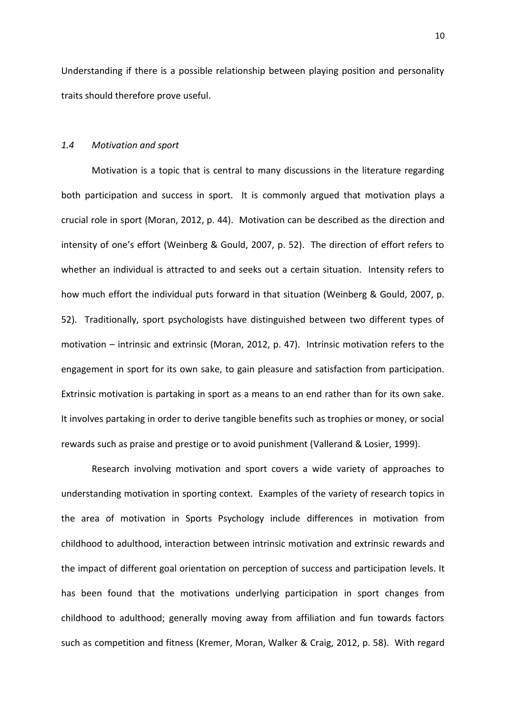Understanding if there is a possible relationship between playing position and personality traits should therefore prove useful.

## *1.4 Motivation and sport*

Motivation is a topic that is central to many discussions in the literature regarding both participation and success in sport. It is commonly argued that motivation plays a crucial role in sport (Moran, 2012, p. 44). Motivation can be described as the direction and intensity of one's effort (Weinberg & Gould, 2007, p. 52). The direction of effort refers to whether an individual is attracted to and seeks out a certain situation. Intensity refers to how much effort the individual puts forward in that situation (Weinberg & Gould, 2007, p. 52). Traditionally, sport psychologists have distinguished between two different types of motivation – intrinsic and extrinsic (Moran, 2012, p. 47). Intrinsic motivation refers to the engagement in sport for its own sake, to gain pleasure and satisfaction from participation. Extrinsic motivation is partaking in sport as a means to an end rather than for its own sake. It involves partaking in order to derive tangible benefits such as trophies or money, or social rewards such as praise and prestige or to avoid punishment (Vallerand & Losier, 1999).

Research involving motivation and sport covers a wide variety of approaches to understanding motivation in sporting context. Examples of the variety of research topics in the area of motivation in Sports Psychology include differences in motivation from childhood to adulthood, interaction between intrinsic motivation and extrinsic rewards and the impact of different goal orientation on perception of success and participation levels. It has been found that the motivations underlying participation in sport changes from childhood to adulthood; generally moving away from affiliation and fun towards factors such as competition and fitness (Kremer, Moran, Walker & Craig, 2012, p. 58). With regard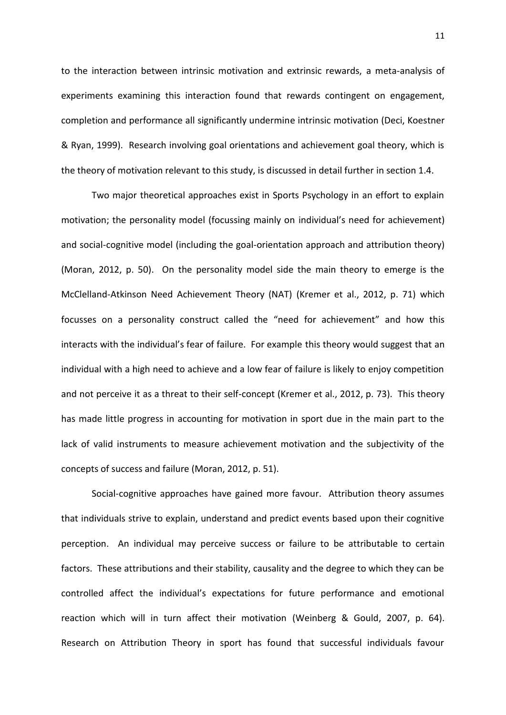to the interaction between intrinsic motivation and extrinsic rewards, a meta-analysis of experiments examining this interaction found that rewards contingent on engagement, completion and performance all significantly undermine intrinsic motivation (Deci, Koestner & Ryan, 1999). Research involving goal orientations and achievement goal theory, which is the theory of motivation relevant to this study, is discussed in detail further in section 1.4.

Two major theoretical approaches exist in Sports Psychology in an effort to explain motivation; the personality model (focussing mainly on individual's need for achievement) and social-cognitive model (including the goal-orientation approach and attribution theory) (Moran, 2012, p. 50). On the personality model side the main theory to emerge is the McClelland-Atkinson Need Achievement Theory (NAT) (Kremer et al., 2012, p. 71) which focusses on a personality construct called the "need for achievement" and how this interacts with the individual's fear of failure. For example this theory would suggest that an individual with a high need to achieve and a low fear of failure is likely to enjoy competition and not perceive it as a threat to their self-concept (Kremer et al., 2012, p. 73). This theory has made little progress in accounting for motivation in sport due in the main part to the lack of valid instruments to measure achievement motivation and the subjectivity of the concepts of success and failure (Moran, 2012, p. 51).

Social-cognitive approaches have gained more favour. Attribution theory assumes that individuals strive to explain, understand and predict events based upon their cognitive perception. An individual may perceive success or failure to be attributable to certain factors. These attributions and their stability, causality and the degree to which they can be controlled affect the individual's expectations for future performance and emotional reaction which will in turn affect their motivation (Weinberg & Gould, 2007, p. 64). Research on Attribution Theory in sport has found that successful individuals favour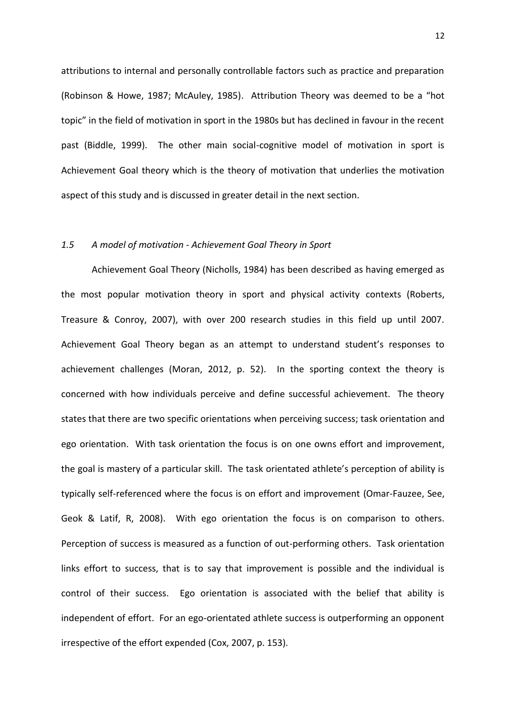attributions to internal and personally controllable factors such as practice and preparation (Robinson & Howe, 1987; McAuley, 1985). Attribution Theory was deemed to be a "hot topic" in the field of motivation in sport in the 1980s but has declined in favour in the recent past (Biddle, 1999). The other main social-cognitive model of motivation in sport is Achievement Goal theory which is the theory of motivation that underlies the motivation aspect of this study and is discussed in greater detail in the next section.

### *1.5 A model of motivation - Achievement Goal Theory in Sport*

Achievement Goal Theory (Nicholls, 1984) has been described as having emerged as the most popular motivation theory in sport and physical activity contexts (Roberts, Treasure & Conroy, 2007), with over 200 research studies in this field up until 2007. Achievement Goal Theory began as an attempt to understand student's responses to achievement challenges (Moran, 2012, p. 52). In the sporting context the theory is concerned with how individuals perceive and define successful achievement. The theory states that there are two specific orientations when perceiving success; task orientation and ego orientation. With task orientation the focus is on one owns effort and improvement, the goal is mastery of a particular skill. The task orientated athlete's perception of ability is typically self-referenced where the focus is on effort and improvement (Omar-Fauzee, See, Geok & Latif, R, 2008). With ego orientation the focus is on comparison to others. Perception of success is measured as a function of out-performing others. Task orientation links effort to success, that is to say that improvement is possible and the individual is control of their success. Ego orientation is associated with the belief that ability is independent of effort. For an ego-orientated athlete success is outperforming an opponent irrespective of the effort expended (Cox, 2007, p. 153).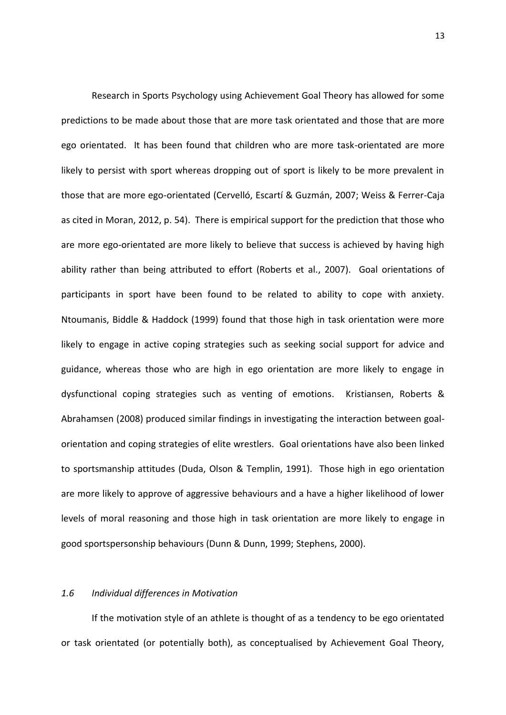Research in Sports Psychology using Achievement Goal Theory has allowed for some predictions to be made about those that are more task orientated and those that are more ego orientated. It has been found that children who are more task-orientated are more likely to persist with sport whereas dropping out of sport is likely to be more prevalent in those that are more ego-orientated (Cervelló, Escartí & Guzmán, 2007; Weiss & Ferrer-Caja as cited in Moran, 2012, p. 54). There is empirical support for the prediction that those who are more ego-orientated are more likely to believe that success is achieved by having high ability rather than being attributed to effort (Roberts et al., 2007). Goal orientations of participants in sport have been found to be related to ability to cope with anxiety. Ntoumanis, Biddle & Haddock (1999) found that those high in task orientation were more likely to engage in active coping strategies such as seeking social support for advice and guidance, whereas those who are high in ego orientation are more likely to engage in dysfunctional coping strategies such as venting of emotions. Kristiansen, Roberts & Abrahamsen (2008) produced similar findings in investigating the interaction between goal orientation and coping strategies of elite wrestlers. Goal orientations have also been linked to sportsmanship attitudes (Duda, Olson & Templin, 1991). Those high in ego orientation are more likely to approve of aggressive behaviours and a have a higher likelihood of lower levels of moral reasoning and those high in task orientation are more likely to engage in good sportspersonship behaviours (Dunn & Dunn, 1999; Stephens, 2000).

### *1.6 Individual differences in Motivation*

If the motivation style of an athlete is thought of as a tendency to be ego orientated or task orientated (or potentially both), as conceptualised by Achievement Goal Theory,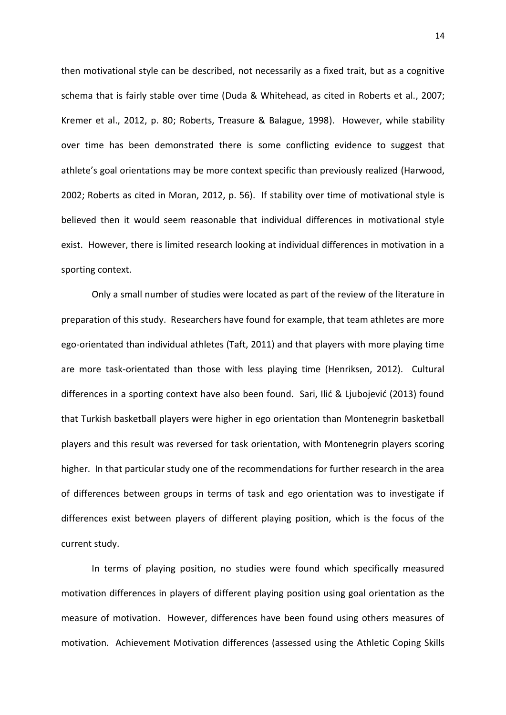then motivational style can be described, not necessarily as a fixed trait, but as a cognitive schema that is fairly stable over time (Duda & Whitehead, as cited in Roberts et al., 2007; Kremer et al., 2012, p. 80; Roberts, Treasure & Balague, 1998). However, while stability over time has been demonstrated there is some conflicting evidence to suggest that athlete's goal orientations may be more context specific than previously realized (Harwood, 2002; Roberts as cited in Moran, 2012, p. 56). If stability over time of motivational style is believed then it would seem reasonable that individual differences in motivational style exist. However, there is limited research looking at individual differences in motivation in a sporting context.

Only a small number of studies were located as part of the review of the literature in preparation of this study. Researchers have found for example, that team athletes are more ego-orientated than individual athletes (Taft, 2011) and that players with more playing time are more task-orientated than those with less playing time (Henriksen, 2012). Cultural differences in a sporting context have also been found. Sari, Ilić & Ljubojević (2013) found that Turkish basketball players were higher in ego orientation than Montenegrin basketball players and this result was reversed for task orientation, with Montenegrin players scoring higher. In that particular study one of the recommendations for further research in the area of differences between groups in terms of task and ego orientation was to investigate if differences exist between players of different playing position, which is the focus of the current study.

In terms of playing position, no studies were found which specifically measured motivation differences in players of different playing position using goal orientation as the measure of motivation. However, differences have been found using others measures of motivation. Achievement Motivation differences (assessed using the Athletic Coping Skills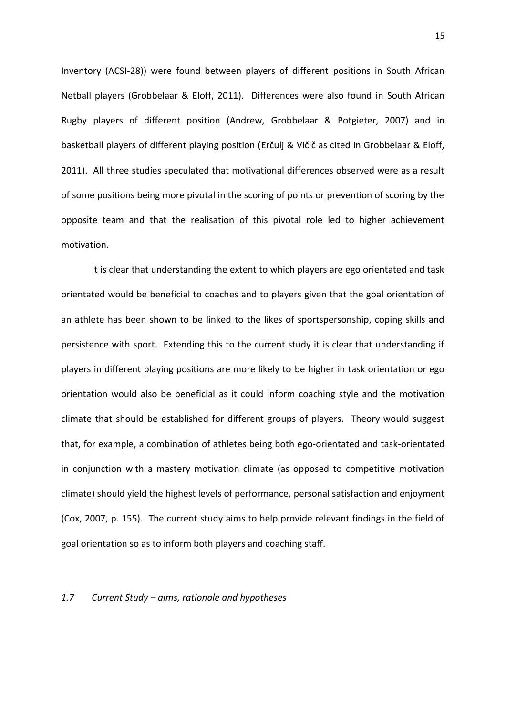Inventory (ACSI-28)) were found between players of different positions in South African Netball players (Grobbelaar & Eloff, 2011). Differences were also found in South African Rugby players of different position (Andrew, Grobbelaar & Potgieter, 2007) and in basketball players of different playing position (Erčulj & Vičič as cited in Grobbelaar & Eloff, 2011). All three studies speculated that motivational differences observed were as a result of some positions being more pivotal in the scoring of points or prevention of scoring by the opposite team and that the realisation of this pivotal role led to higher achievement motivation.

It is clear that understanding the extent to which players are ego orientated and task orientated would be beneficial to coaches and to players given that the goal orientation of an athlete has been shown to be linked to the likes of sportspersonship, coping skills and persistence with sport. Extending this to the current study it is clear that understanding if players in different playing positions are more likely to be higher in task orientation or ego orientation would also be beneficial as it could inform coaching style and the motivation climate that should be established for different groups of players. Theory would suggest that, for example, a combination of athletes being both ego-orientated and task-orientated in conjunction with a mastery motivation climate (as opposed to competitive motivation climate) should yield the highest levels of performance, personal satisfaction and enjoyment (Cox, 2007, p. 155). The current study aims to help provide relevant findings in the field of goal orientation so as to inform both players and coaching staff.

### *1.7 Current Study – aims, rationale and hypotheses*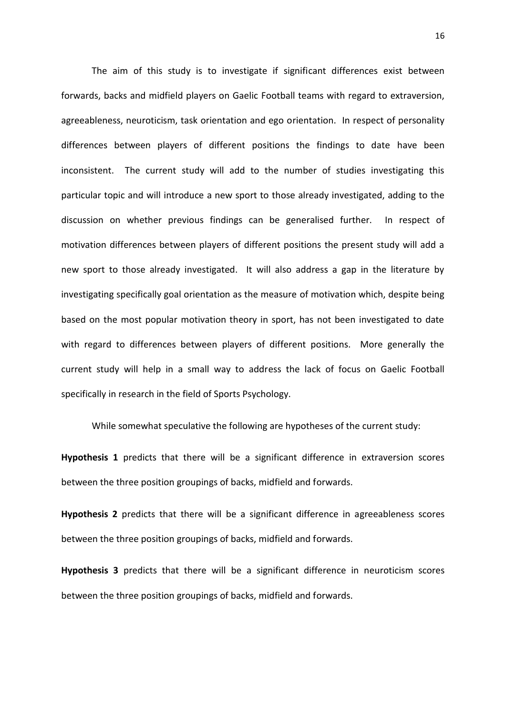The aim of this study is to investigate if significant differences exist between forwards, backs and midfield players on Gaelic Football teams with regard to extraversion, agreeableness, neuroticism, task orientation and ego orientation. In respect of personality differences between players of different positions the findings to date have been inconsistent. The current study will add to the number of studies investigating this particular topic and will introduce a new sport to those already investigated, adding to the discussion on whether previous findings can be generalised further. In respect of motivation differences between players of different positions the present study will add a new sport to those already investigated. It will also address a gap in the literature by investigating specifically goal orientation as the measure of motivation which, despite being based on the most popular motivation theory in sport, has not been investigated to date with regard to differences between players of different positions. More generally the current study will help in a small way to address the lack of focus on Gaelic Football specifically in research in the field of Sports Psychology.

While somewhat speculative the following are hypotheses of the current study:

**Hypothesis 1** predicts that there will be a significant difference in extraversion scores between the three position groupings of backs, midfield and forwards.

**Hypothesis 2** predicts that there will be a significant difference in agreeableness scores between the three position groupings of backs, midfield and forwards.

**Hypothesis 3** predicts that there will be a significant difference in neuroticism scores between the three position groupings of backs, midfield and forwards.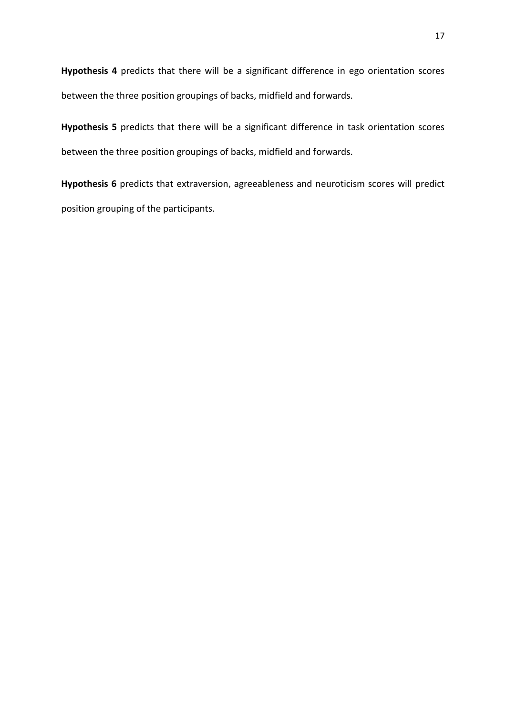**Hypothesis 4** predicts that there will be a significant difference in ego orientation scores between the three position groupings of backs, midfield and forwards.

**Hypothesis 5** predicts that there will be a significant difference in task orientation scores between the three position groupings of backs, midfield and forwards.

**Hypothesis 6** predicts that extraversion, agreeableness and neuroticism scores will predict position grouping of the participants.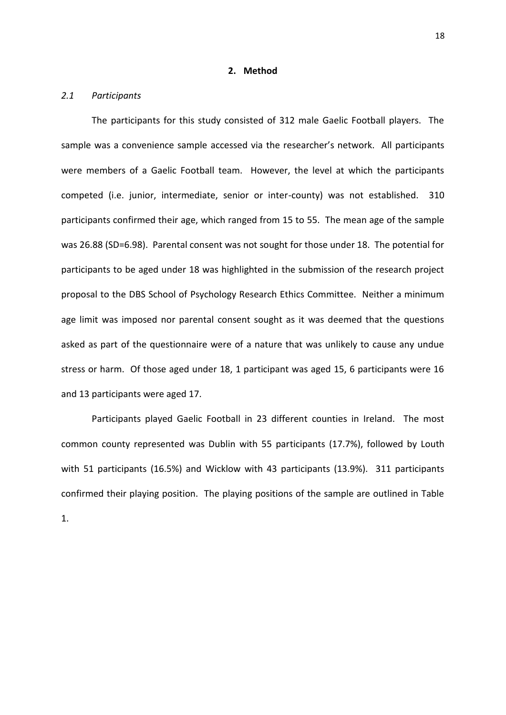#### **2. Method**

#### *2.1 Participants*

The participants for this study consisted of 312 male Gaelic Football players. The sample was a convenience sample accessed via the researcher's network. All participants were members of a Gaelic Football team. However, the level at which the participants competed (i.e. junior, intermediate, senior or inter-county) was not established. 310 participants confirmed their age, which ranged from 15 to 55. The mean age of the sample was 26.88 (SD=6.98). Parental consent was not sought for those under 18. The potential for participants to be aged under 18 was highlighted in the submission of the research project proposal to the DBS School of Psychology Research Ethics Committee. Neither a minimum age limit was imposed nor parental consent sought as it was deemed that the questions asked as part of the questionnaire were of a nature that was unlikely to cause any undue stress or harm. Of those aged under 18, 1 participant was aged 15, 6 participants were 16 and 13 participants were aged 17.

Participants played Gaelic Football in 23 different counties in Ireland. The most common county represented was Dublin with 55 participants (17.7%), followed by Louth with 51 participants (16.5%) and Wicklow with 43 participants (13.9%). 311 participants confirmed their playing position. The playing positions of the sample are outlined in Table 1.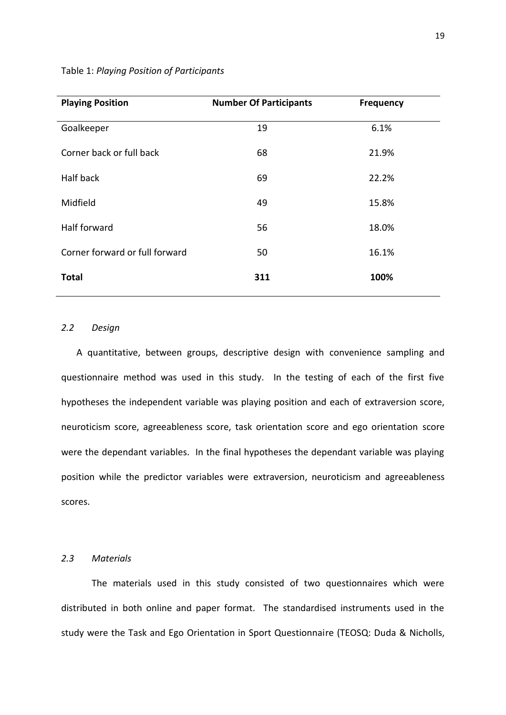| <b>Playing Position</b>        | <b>Number Of Participants</b> | <b>Frequency</b> |
|--------------------------------|-------------------------------|------------------|
| Goalkeeper                     | 19                            | 6.1%             |
| Corner back or full back       | 68                            | 21.9%            |
| Half back                      | 69                            | 22.2%            |
| Midfield                       | 49                            | 15.8%            |
| Half forward                   | 56                            | 18.0%            |
| Corner forward or full forward | 50                            | 16.1%            |
| <b>Total</b>                   | 311                           | 100%             |

# Table 1: *Playing Position of Participants*

# *2.2 Design*

A quantitative, between groups, descriptive design with convenience sampling and questionnaire method was used in this study. In the testing of each of the first five hypotheses the independent variable was playing position and each of extraversion score, neuroticism score, agreeableness score, task orientation score and ego orientation score were the dependant variables. In the final hypotheses the dependant variable was playing position while the predictor variables were extraversion, neuroticism and agreeableness scores.

### *2.3 Materials*

The materials used in this study consisted of two questionnaires which were distributed in both online and paper format. The standardised instruments used in the study were the Task and Ego Orientation in Sport Questionnaire (TEOSQ: Duda & Nicholls,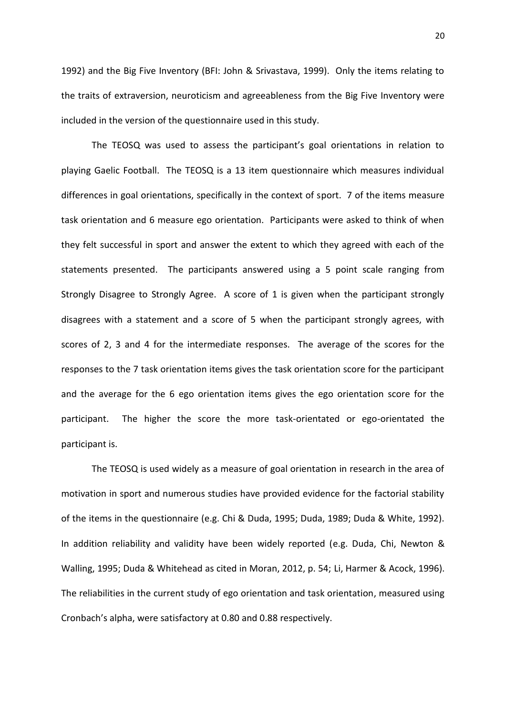1992) and the Big Five Inventory (BFI: John & Srivastava, 1999). Only the items relating to the traits of extraversion, neuroticism and agreeableness from the Big Five Inventory were included in the version of the questionnaire used in this study.

The TEOSQ was used to assess the participant's goal orientations in relation to playing Gaelic Football. The TEOSQ is a 13 item questionnaire which measures individual differences in goal orientations, specifically in the context of sport. 7 of the items measure task orientation and 6 measure ego orientation. Participants were asked to think of when they felt successful in sport and answer the extent to which they agreed with each of the statements presented. The participants answered using a 5 point scale ranging from Strongly Disagree to Strongly Agree. A score of 1 is given when the participant strongly disagrees with a statement and a score of 5 when the participant strongly agrees, with scores of 2, 3 and 4 for the intermediate responses. The average of the scores for the responses to the 7 task orientation items gives the task orientation score for the participant and the average for the 6 ego orientation items gives the ego orientation score for the participant. The higher the score the more task-orientated or ego-orientated the participant is.

The TEOSQ is used widely as a measure of goal orientation in research in the area of motivation in sport and numerous studies have provided evidence for the factorial stability of the items in the questionnaire (e.g. Chi & Duda, 1995; Duda, 1989; Duda & White, 1992). In addition reliability and validity have been widely reported (e.g. Duda, Chi, Newton & Walling, 1995; Duda & Whitehead as cited in Moran, 2012, p. 54; Li, Harmer & Acock, 1996). The reliabilities in the current study of ego orientation and task orientation, measured using Cronbach's alpha, were satisfactory at 0.80 and 0.88 respectively.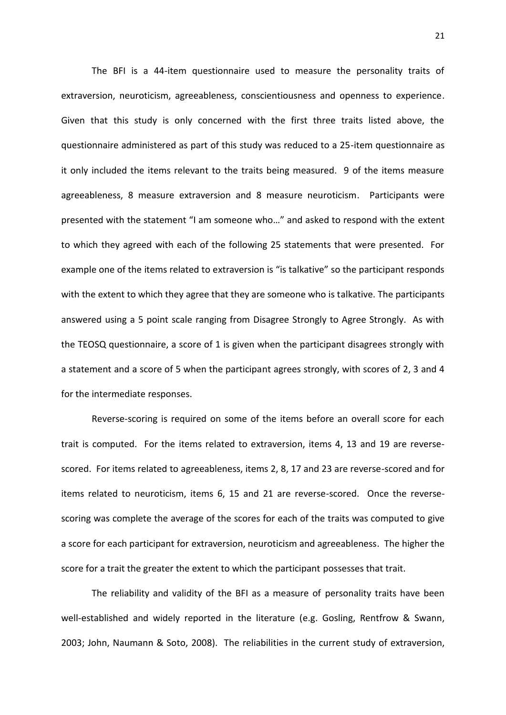The BFI is a 44-item questionnaire used to measure the personality traits of extraversion, neuroticism, agreeableness, conscientiousness and openness to experience. Given that this study is only concerned with the first three traits listed above, the questionnaire administered as part of this study was reduced to a 25-item questionnaire as it only included the items relevant to the traits being measured. 9 of the items measure agreeableness, 8 measure extraversion and 8 measure neuroticism. Participants were presented with the statement "I am someone who…" and asked to respond with the extent to which they agreed with each of the following 25 statements that were presented. For example one of the items related to extraversion is "is talkative" so the participant responds with the extent to which they agree that they are someone who is talkative. The participants answered using a 5 point scale ranging from Disagree Strongly to Agree Strongly. As with the TEOSQ questionnaire, a score of 1 is given when the participant disagrees strongly with a statement and a score of 5 when the participant agrees strongly, with scores of 2, 3 and 4 for the intermediate responses.

Reverse-scoring is required on some of the items before an overall score for each trait is computed. For the items related to extraversion, items 4, 13 and 19 are reverse scored. For items related to agreeableness, items 2, 8, 17 and 23 are reverse-scored and for items related to neuroticism, items 6, 15 and 21 are reverse-scored. Once the reverse scoring was complete the average of the scores for each of the traits was computed to give a score for each participant for extraversion, neuroticism and agreeableness. The higher the score for a trait the greater the extent to which the participant possesses that trait.

The reliability and validity of the BFI as a measure of personality traits have been well-established and widely reported in the literature (e.g. Gosling, Rentfrow & Swann, 2003; John, Naumann & Soto, 2008). The reliabilities in the current study of extraversion,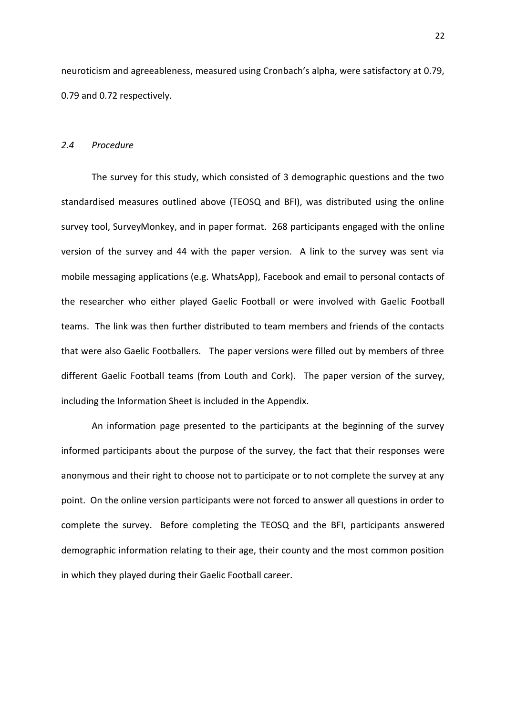neuroticism and agreeableness, measured using Cronbach's alpha, were satisfactory at 0.79, 0.79 and 0.72 respectively.

#### *2.4 Procedure*

The survey for this study, which consisted of 3 demographic questions and the two standardised measures outlined above (TEOSQ and BFI), was distributed using the online survey tool, SurveyMonkey, and in paper format. 268 participants engaged with the online version of the survey and 44 with the paper version. A link to the survey was sent via mobile messaging applications (e.g. WhatsApp), Facebook and email to personal contacts of the researcher who either played Gaelic Football or were involved with Gaelic Football teams. The link was then further distributed to team members and friends of the contacts that were also Gaelic Footballers. The paper versions were filled out by members of three different Gaelic Football teams (from Louth and Cork). The paper version of the survey, including the Information Sheet is included in the Appendix.

An information page presented to the participants at the beginning of the survey informed participants about the purpose of the survey, the fact that their responses were anonymous and their right to choose not to participate or to not complete the survey at any point. On the online version participants were not forced to answer all questions in order to complete the survey. Before completing the TEOSQ and the BFI, participants answered demographic information relating to their age, their county and the most common position in which they played during their Gaelic Football career.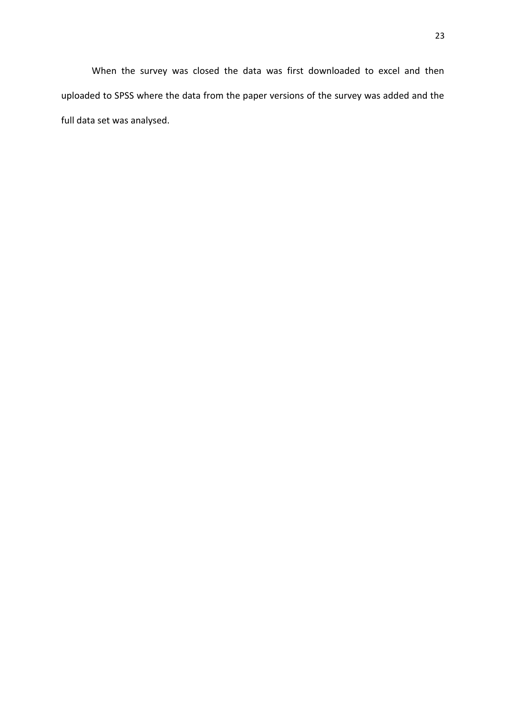When the survey was closed the data was first downloaded to excel and then uploaded to SPSS where the data from the paper versions of the survey was added and the full data set was analysed.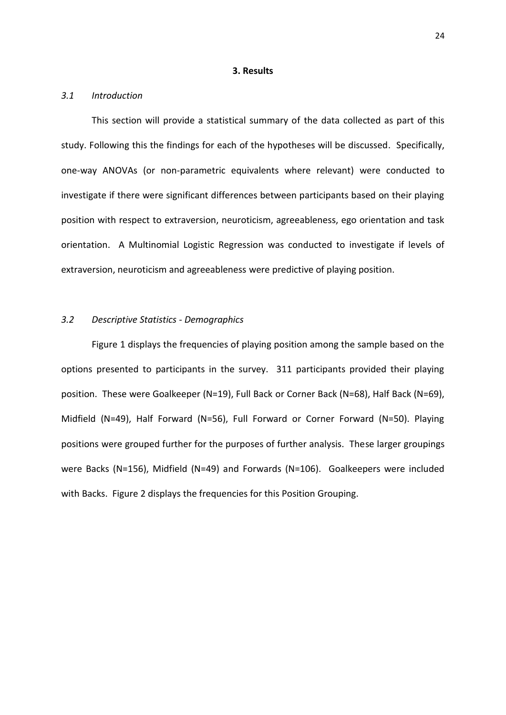#### **3. Results**

#### *3.1 Introduction*

This section will provide a statistical summary of the data collected as part of this study. Following this the findings for each of the hypotheses will be discussed. Specifically, one-way ANOVAs (or non-parametric equivalents where relevant) were conducted to investigate if there were significant differences between participants based on their playing position with respect to extraversion, neuroticism, agreeableness, ego orientation and task orientation. A Multinomial Logistic Regression was conducted to investigate if levels of extraversion, neuroticism and agreeableness were predictive of playing position.

# *3.2 Descriptive Statistics - Demographics*

Figure 1 displays the frequencies of playing position among the sample based on the options presented to participants in the survey. 311 participants provided their playing position. These were Goalkeeper (N=19), Full Back or Corner Back (N=68), Half Back (N=69), Midfield (N=49), Half Forward (N=56), Full Forward or Corner Forward (N=50). Playing positions were grouped further for the purposes of further analysis. These larger groupings were Backs (N=156), Midfield (N=49) and Forwards (N=106). Goalkeepers were included with Backs. Figure 2 displays the frequencies for this Position Grouping.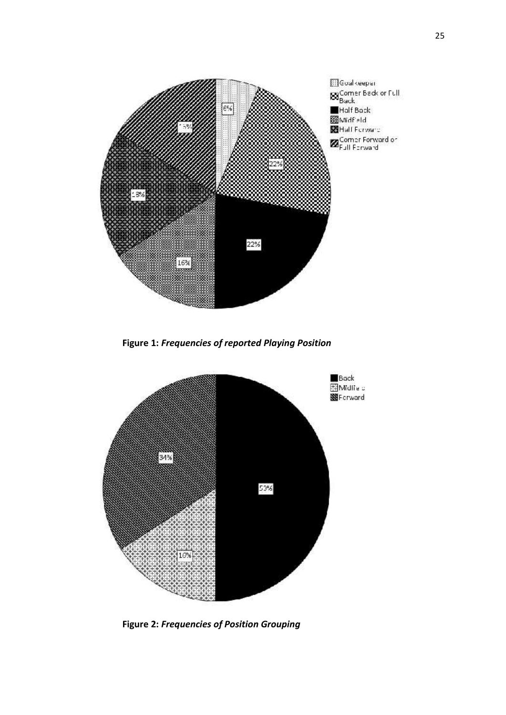

**Figure 1:** *Frequencies of reported Playing Position*



**Figure 2:** *Frequencies of Position Grouping*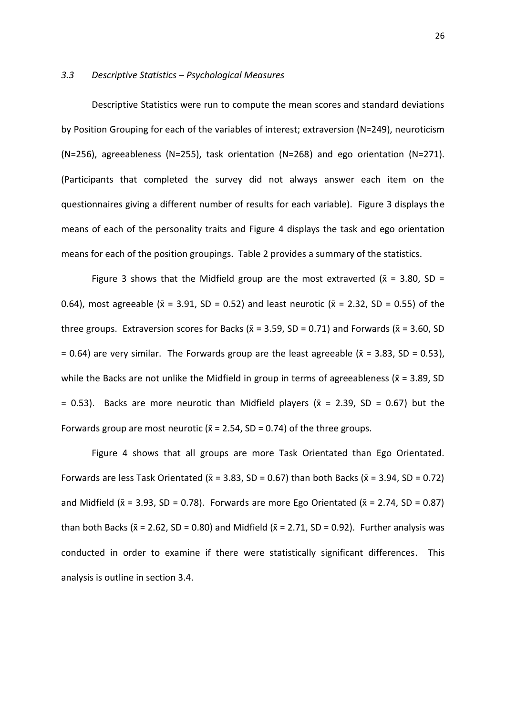#### *3.3 Descriptive Statistics – Psychological Measures*

Descriptive Statistics were run to compute the mean scores and standard deviations by Position Grouping for each of the variables of interest; extraversion (N=249), neuroticism (N=256), agreeableness (N=255), task orientation (N=268) and ego orientation (N=271). (Participants that completed the survey did not always answer each item on the questionnaires giving a different number of results for each variable). Figure 3 displays the means of each of the personality traits and Figure 4 displays the task and ego orientation means for each of the position groupings. Table 2 provides a summary of the statistics.

Figure 3 shows that the Midfield group are the most extraverted ( $\bar{x}$  = 3.80, SD = 0.64), most agreeable ( $\bar{x}$  = 3.91, SD = 0.52) and least neurotic ( $\bar{x}$  = 2.32, SD = 0.55) of the three groups. Extraversion scores for Backs ( $\bar{x}$  = 3.59, SD = 0.71) and Forwards ( $\bar{x}$  = 3.60, SD  $= 0.64$ ) are very similar. The Forwards group are the least agreeable ( $\bar{x} = 3.83$ , SD = 0.53), while the Backs are not unlike the Midfield in group in terms of agreeableness ( $\bar{x}$  = 3.89, SD  $= 0.53$ ). Backs are more neurotic than Midfield players ( $\bar{x} = 2.39$ , SD = 0.67) but the Forwards group are most neurotic ( $\bar{x}$  = 2.54, SD = 0.74) of the three groups.

Figure 4 shows that all groups are more Task Orientated than Ego Orientated. Forwards are less Task Orientated ( $\bar{x}$  = 3.83, SD = 0.67) than both Backs ( $\bar{x}$  = 3.94, SD = 0.72) and Midfield ( $\bar{x}$  = 3.93, SD = 0.78). Forwards are more Ego Orientated ( $\bar{x}$  = 2.74, SD = 0.87) than both Backs ( $\bar{x}$  = 2.62, SD = 0.80) and Midfield ( $\bar{x}$  = 2.71, SD = 0.92). Further analysis was conducted in order to examine if there were statistically significant differences. This analysis is outline in section 3.4.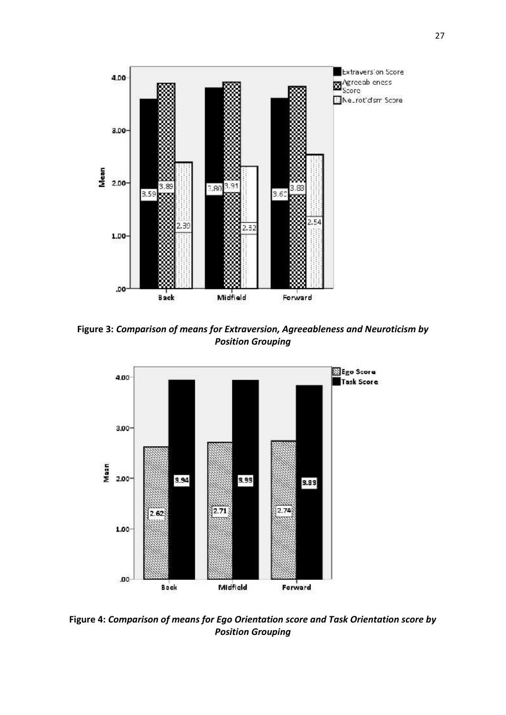

**Figure 3:** *Comparison of means for Extraversion, Agreeableness and Neuroticism by Position Grouping*



**Figure 4:** *Comparison of means for Ego Orientation score and Task Orientation score by Position Grouping*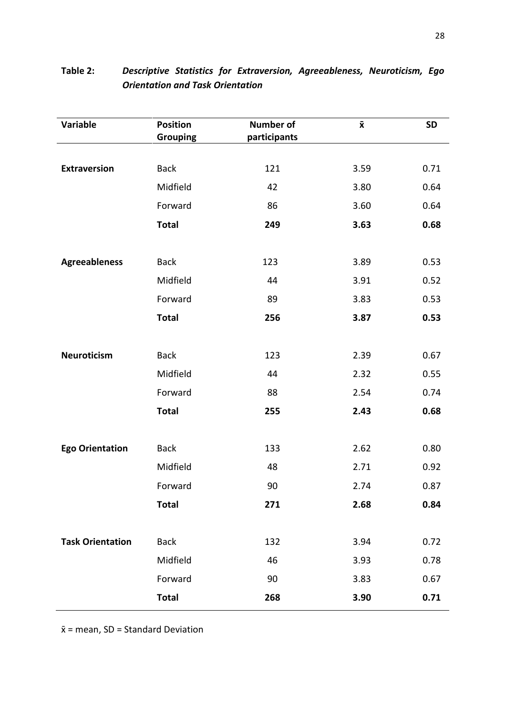| Variable                | <b>Position</b><br><b>Grouping</b> | <b>Number of</b><br>participants | $\bar{\mathbf{x}}$ | <b>SD</b> |
|-------------------------|------------------------------------|----------------------------------|--------------------|-----------|
|                         |                                    |                                  |                    |           |
| <b>Extraversion</b>     | <b>Back</b>                        | 121                              | 3.59               | 0.71      |
|                         | Midfield                           | 42                               | 3.80               | 0.64      |
|                         | Forward                            | 86                               | 3.60               | 0.64      |
|                         | <b>Total</b>                       | 249                              | 3.63               | 0.68      |
|                         |                                    |                                  |                    |           |
| <b>Agreeableness</b>    | <b>Back</b>                        | 123                              | 3.89               | 0.53      |
|                         | Midfield                           | 44                               | 3.91               | 0.52      |
|                         | Forward                            | 89                               | 3.83               | 0.53      |
|                         | <b>Total</b>                       | 256                              | 3.87               | 0.53      |
|                         |                                    |                                  |                    |           |
| Neuroticism             | <b>Back</b>                        | 123                              | 2.39               | 0.67      |
|                         | Midfield                           | 44                               | 2.32               | 0.55      |
|                         | Forward                            | 88                               | 2.54               | 0.74      |
|                         | <b>Total</b>                       | 255                              | 2.43               | 0.68      |
| <b>Ego Orientation</b>  | <b>Back</b>                        | 133                              | 2.62               | 0.80      |
|                         | Midfield                           | 48                               | 2.71               | 0.92      |
|                         | Forward                            | 90                               | 2.74               | 0.87      |
|                         | <b>Total</b>                       | 271                              | 2.68               | 0.84      |
|                         |                                    |                                  |                    |           |
| <b>Task Orientation</b> | <b>Back</b>                        | 132                              | 3.94               | 0.72      |
|                         | Midfield                           | 46                               | 3.93               | 0.78      |
|                         | Forward                            | 90                               | 3.83               | 0.67      |
|                         | <b>Total</b>                       | 268                              | 3.90               | 0.71      |

# **Table 2:** *Descriptive Statistics for Extraversion, Agreeableness, Neuroticism, Ego Orientation and Task Orientation*

 $\bar{x}$  = mean, SD = Standard Deviation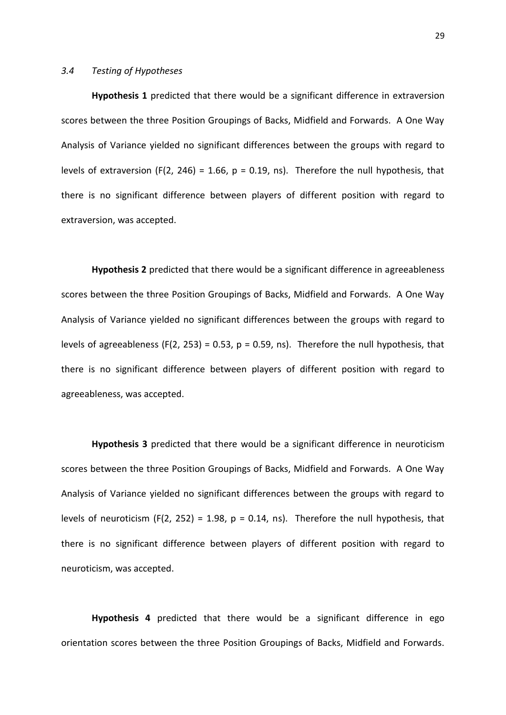## *3.4 Testing of Hypotheses*

**Hypothesis 1** predicted that there would be a significant difference in extraversion scores between the three Position Groupings of Backs, Midfield and Forwards. A One Way Analysis of Variance yielded no significant differences between the groups with regard to levels of extraversion (F(2, 246) = 1.66,  $p = 0.19$ , ns). Therefore the null hypothesis, that there is no significant difference between players of different position with regard to extraversion, was accepted.

**Hypothesis 2** predicted that there would be a significant difference in agreeableness scores between the three Position Groupings of Backs, Midfield and Forwards. A One Way Analysis of Variance yielded no significant differences between the groups with regard to levels of agreeableness (F(2, 253) = 0.53,  $p = 0.59$ , ns). Therefore the null hypothesis, that there is no significant difference between players of different position with regard to agreeableness, was accepted.

**Hypothesis 3** predicted that there would be a significant difference in neuroticism scores between the three Position Groupings of Backs, Midfield and Forwards. A One Way Analysis of Variance yielded no significant differences between the groups with regard to levels of neuroticism (F(2, 252) = 1.98,  $p = 0.14$ , ns). Therefore the null hypothesis, that there is no significant difference between players of different position with regard to neuroticism, was accepted.

**Hypothesis 4** predicted that there would be a significant difference in ego orientation scores between the three Position Groupings of Backs, Midfield and Forwards.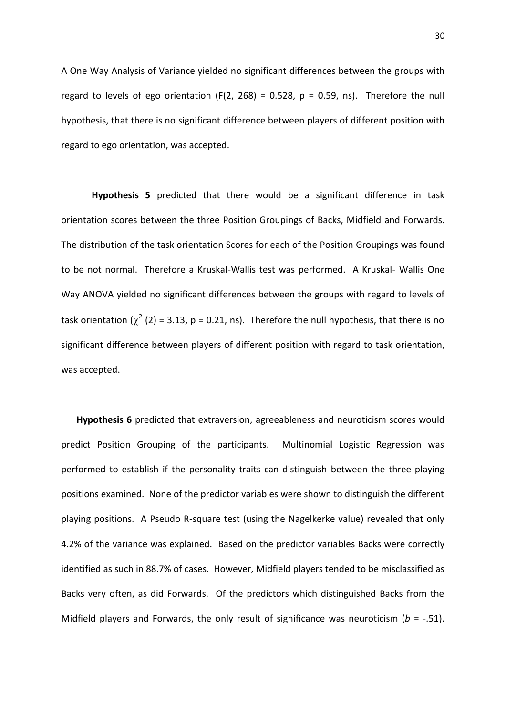A One Way Analysis of Variance yielded no significant differences between the groups with regard to levels of ego orientation (F(2, 268) = 0.528,  $p = 0.59$ , ns). Therefore the null hypothesis, that there is no significant difference between players of different position with regard to ego orientation, was accepted.

**Hypothesis 5** predicted that there would be a significant difference in task orientation scores between the three Position Groupings of Backs, Midfield and Forwards. The distribution of the task orientation Scores for each of the Position Groupings was found to be not normal. Therefore a Kruskal-Wallis test was performed. A Kruskal- Wallis One Way ANOVA yielded no significant differences between the groups with regard to levels of task orientation ( $\chi^2$  (2) = 3.13, p = 0.21, ns). Therefore the null hypothesis, that there is no significant difference between players of different position with regard to task orientation, was accepted.

**Hypothesis 6** predicted that extraversion, agreeableness and neuroticism scores would predict Position Grouping of the participants. Multinomial Logistic Regression was performed to establish if the personality traits can distinguish between the three playing positions examined. None of the predictor variables were shown to distinguish the different playing positions. A Pseudo R-square test (using the Nagelkerke value) revealed that only 4.2% of the variance was explained. Based on the predictor variables Backs were correctly identified as such in 88.7% of cases. However, Midfield players tended to be misclassified as Backs very often, as did Forwards. Of the predictors which distinguished Backs from the Midfield players and Forwards, the only result of significance was neuroticism (*b* = -.51).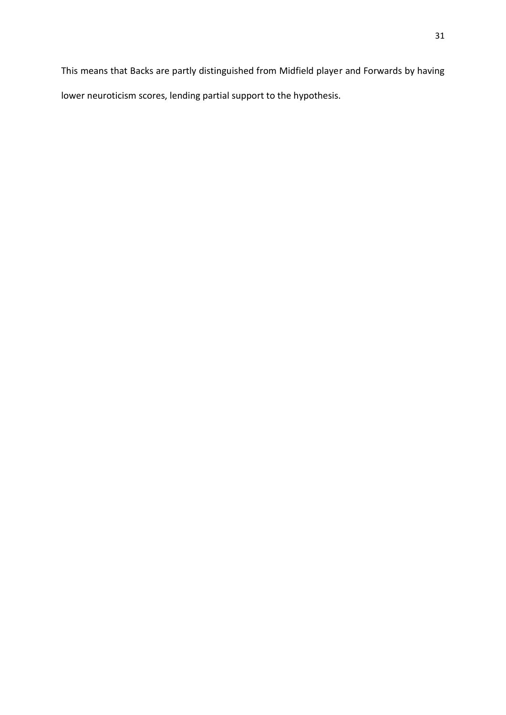This means that Backs are partly distinguished from Midfield player and Forwards by having lower neuroticism scores, lending partial support to the hypothesis.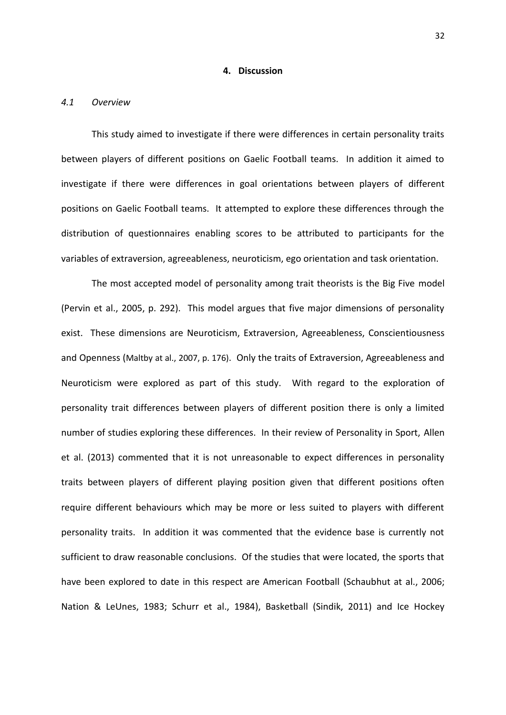## **4. Discussion**

#### *4.1 Overview*

This study aimed to investigate if there were differences in certain personality traits between players of different positions on Gaelic Football teams. In addition it aimed to investigate if there were differences in goal orientations between players of different positions on Gaelic Football teams. It attempted to explore these differences through the distribution of questionnaires enabling scores to be attributed to participants for the variables of extraversion, agreeableness, neuroticism, ego orientation and task orientation.

The most accepted model of personality among trait theorists is the Big Five model (Pervin et al., 2005, p. 292). This model argues that five major dimensions of personality exist. These dimensions are Neuroticism, Extraversion, Agreeableness, Conscientiousness and Openness (Maltby at al., 2007, p. 176). Only the traits of Extraversion, Agreeableness and Neuroticism were explored as part of this study. With regard to the exploration of personality trait differences between players of different position there is only a limited number of studies exploring these differences. In their review of Personality in Sport, Allen et al. (2013) commented that it is not unreasonable to expect differences in personality traits between players of different playing position given that different positions often require different behaviours which may be more or less suited to players with different personality traits. In addition it was commented that the evidence base is currently not sufficient to draw reasonable conclusions. Of the studies that were located, the sports that have been explored to date in this respect are American Football (Schaubhut at al., 2006; Nation & LeUnes, 1983; Schurr et al., 1984), Basketball (Sindik, 2011) and Ice Hockey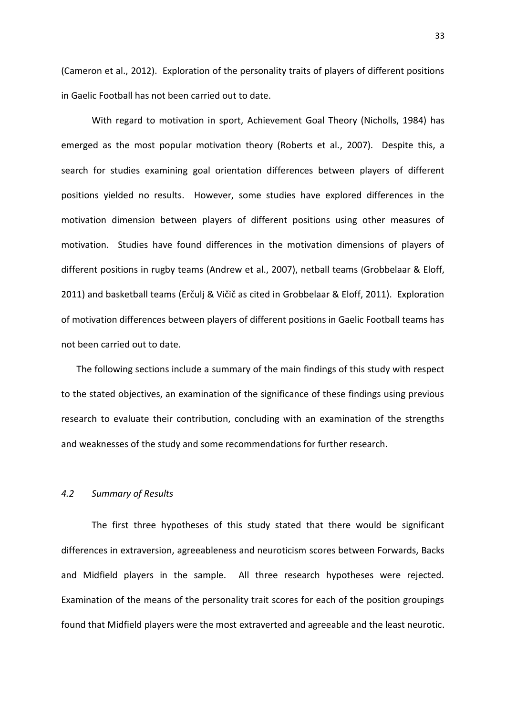(Cameron et al., 2012). Exploration of the personality traits of players of different positions in Gaelic Football has not been carried out to date.

With regard to motivation in sport, Achievement Goal Theory (Nicholls, 1984) has emerged as the most popular motivation theory (Roberts et al., 2007). Despite this, a search for studies examining goal orientation differences between players of different positions yielded no results. However, some studies have explored differences in the motivation dimension between players of different positions using other measures of motivation. Studies have found differences in the motivation dimensions of players of different positions in rugby teams (Andrew et al., 2007), netball teams (Grobbelaar & Eloff, 2011) and basketball teams (Erčulj & Vičič as cited in Grobbelaar & Eloff, 2011). Exploration of motivation differences between players of different positions in Gaelic Football teams has not been carried out to date.

The following sections include a summary of the main findings of this study with respect to the stated objectives, an examination of the significance of these findings using previous research to evaluate their contribution, concluding with an examination of the strengths and weaknesses of the study and some recommendations for further research.

# *4.2 Summary of Results*

The first three hypotheses of this study stated that there would be significant differences in extraversion, agreeableness and neuroticism scores between Forwards, Backs and Midfield players in the sample. All three research hypotheses were rejected. Examination of the means of the personality trait scores for each of the position groupings found that Midfield players were the most extraverted and agreeable and the least neurotic.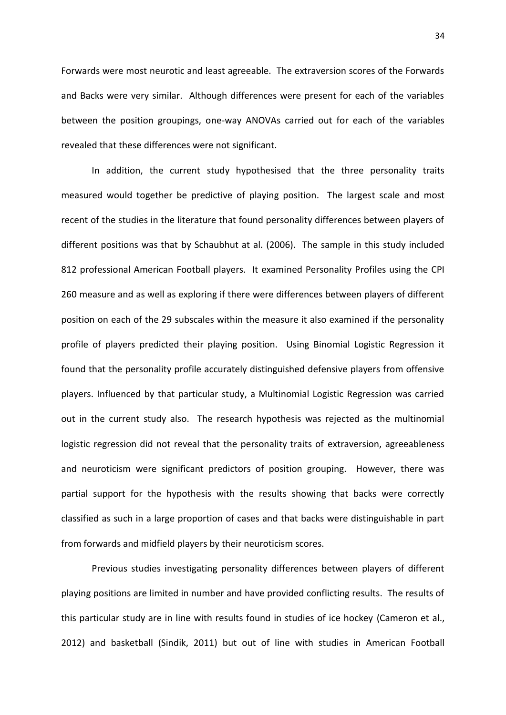Forwards were most neurotic and least agreeable. The extraversion scores of the Forwards and Backs were very similar. Although differences were present for each of the variables between the position groupings, one-way ANOVAs carried out for each of the variables revealed that these differences were not significant.

In addition, the current study hypothesised that the three personality traits measured would together be predictive of playing position. The largest scale and most recent of the studies in the literature that found personality differences between players of different positions was that by Schaubhut at al. (2006). The sample in this study included 812 professional American Football players. It examined Personality Profiles using the CPI 260 measure and as well as exploring if there were differences between players of different position on each of the 29 subscales within the measure it also examined if the personality profile of players predicted their playing position. Using Binomial Logistic Regression it found that the personality profile accurately distinguished defensive players from offensive players. Influenced by that particular study, a Multinomial Logistic Regression was carried out in the current study also. The research hypothesis was rejected as the multinomial logistic regression did not reveal that the personality traits of extraversion, agreeableness and neuroticism were significant predictors of position grouping. However, there was partial support for the hypothesis with the results showing that backs were correctly classified as such in a large proportion of cases and that backs were distinguishable in part from forwards and midfield players by their neuroticism scores.

Previous studies investigating personality differences between players of different playing positions are limited in number and have provided conflicting results. The results of this particular study are in line with results found in studies of ice hockey (Cameron et al., 2012) and basketball (Sindik, 2011) but out of line with studies in American Football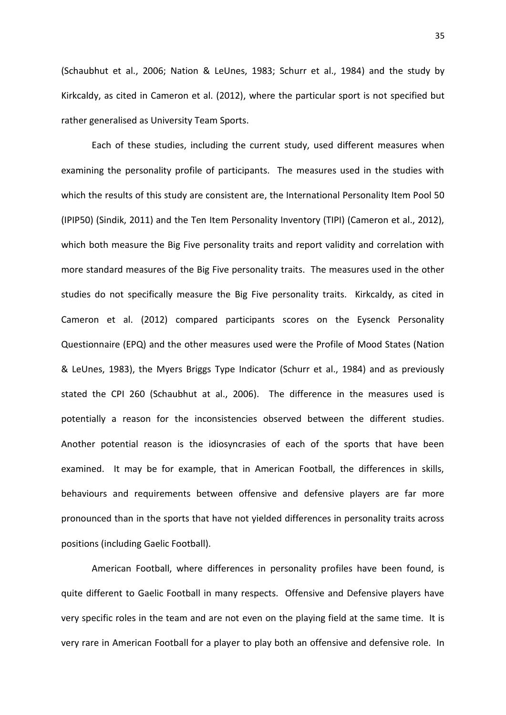(Schaubhut et al., 2006; Nation & LeUnes, 1983; Schurr et al., 1984) and the study by Kirkcaldy, as cited in Cameron et al. (2012), where the particular sport is not specified but rather generalised as University Team Sports.

Each of these studies, including the current study, used different measures when examining the personality profile of participants. The measures used in the studies with which the results of this study are consistent are, the International Personality Item Pool 50 (IPIP50) (Sindik, 2011) and the Ten Item Personality Inventory (TIPI) (Cameron et al., 2012), which both measure the Big Five personality traits and report validity and correlation with more standard measures of the Big Five personality traits. The measures used in the other studies do not specifically measure the Big Five personality traits. Kirkcaldy, as cited in Cameron et al. (2012) compared participants scores on the Eysenck Personality Questionnaire (EPQ) and the other measures used were the Profile of Mood States (Nation & LeUnes, 1983), the Myers Briggs Type Indicator (Schurr et al., 1984) and as previously stated the CPI 260 (Schaubhut at al., 2006). The difference in the measures used is potentially a reason for the inconsistencies observed between the different studies. Another potential reason is the idiosyncrasies of each of the sports that have been examined. It may be for example, that in American Football, the differences in skills, behaviours and requirements between offensive and defensive players are far more pronounced than in the sports that have not yielded differences in personality traits across positions (including Gaelic Football).

American Football, where differences in personality profiles have been found, is quite different to Gaelic Football in many respects. Offensive and Defensive players have very specific roles in the team and are not even on the playing field at the same time. It is very rare in American Football for a player to play both an offensive and defensive role. In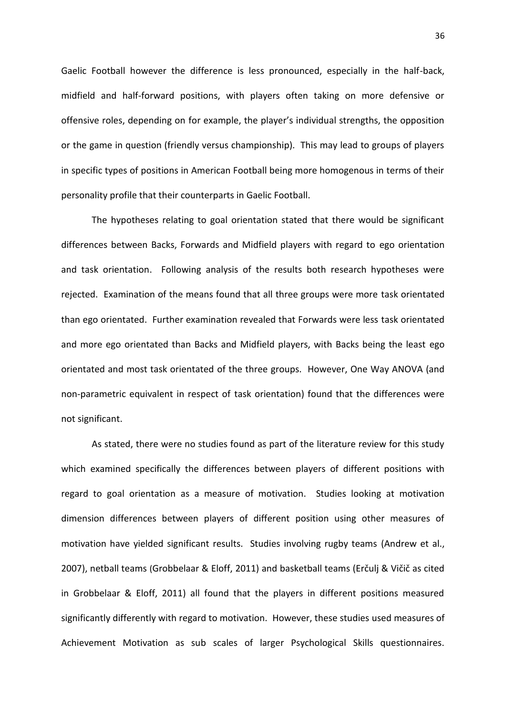Gaelic Football however the difference is less pronounced, especially in the half-back, midfield and half-forward positions, with players often taking on more defensive or offensive roles, depending on for example, the player's individual strengths, the opposition or the game in question (friendly versus championship). This may lead to groups of players in specific types of positions in American Football being more homogenous in terms of their personality profile that their counterparts in Gaelic Football.

The hypotheses relating to goal orientation stated that there would be significant differences between Backs, Forwards and Midfield players with regard to ego orientation and task orientation. Following analysis of the results both research hypotheses were rejected. Examination of the means found that all three groups were more task orientated than ego orientated. Further examination revealed that Forwards were less task orientated and more ego orientated than Backs and Midfield players, with Backs being the least ego orientated and most task orientated of the three groups. However, One Way ANOVA (and non-parametric equivalent in respect of task orientation) found that the differences were not significant.

As stated, there were no studies found as part of the literature review for this study which examined specifically the differences between players of different positions with regard to goal orientation as a measure of motivation. Studies looking at motivation dimension differences between players of different position using other measures of motivation have yielded significant results. Studies involving rugby teams (Andrew et al., 2007), netball teams (Grobbelaar & Eloff, 2011) and basketball teams (Erčulj & Vičič as cited in Grobbelaar & Eloff, 2011) all found that the players in different positions measured significantly differently with regard to motivation. However, these studies used measures of Achievement Motivation as sub scales of larger Psychological Skills questionnaires.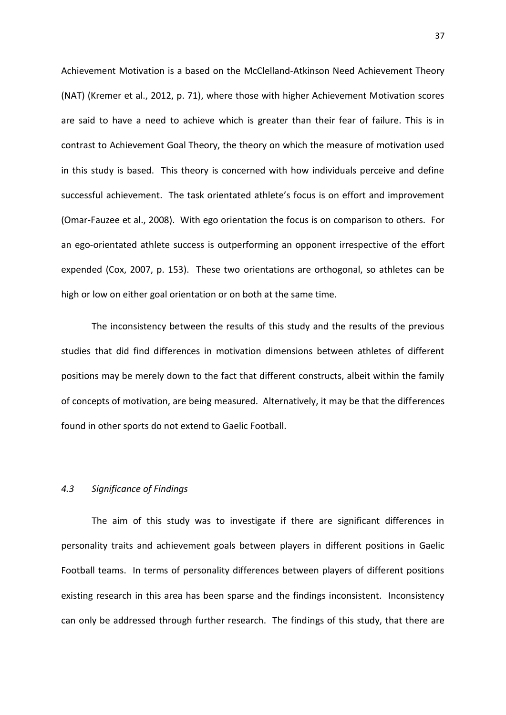Achievement Motivation is a based on the McClelland-Atkinson Need Achievement Theory (NAT) (Kremer et al., 2012, p. 71), where those with higher Achievement Motivation scores are said to have a need to achieve which is greater than their fear of failure. This is in contrast to Achievement Goal Theory, the theory on which the measure of motivation used in this study is based. This theory is concerned with how individuals perceive and define successful achievement. The task orientated athlete's focus is on effort and improvement (Omar-Fauzee et al., 2008). With ego orientation the focus is on comparison to others. For an ego-orientated athlete success is outperforming an opponent irrespective of the effort expended (Cox, 2007, p. 153). These two orientations are orthogonal, so athletes can be high or low on either goal orientation or on both at the same time.

The inconsistency between the results of this study and the results of the previous studies that did find differences in motivation dimensions between athletes of different positions may be merely down to the fact that different constructs, albeit within the family of concepts of motivation, are being measured. Alternatively, it may be that the differences found in other sports do not extend to Gaelic Football.

# *4.3 Significance of Findings*

The aim of this study was to investigate if there are significant differences in personality traits and achievement goals between players in different positions in Gaelic Football teams. In terms of personality differences between players of different positions existing research in this area has been sparse and the findings inconsistent. Inconsistency can only be addressed through further research. The findings of this study, that there are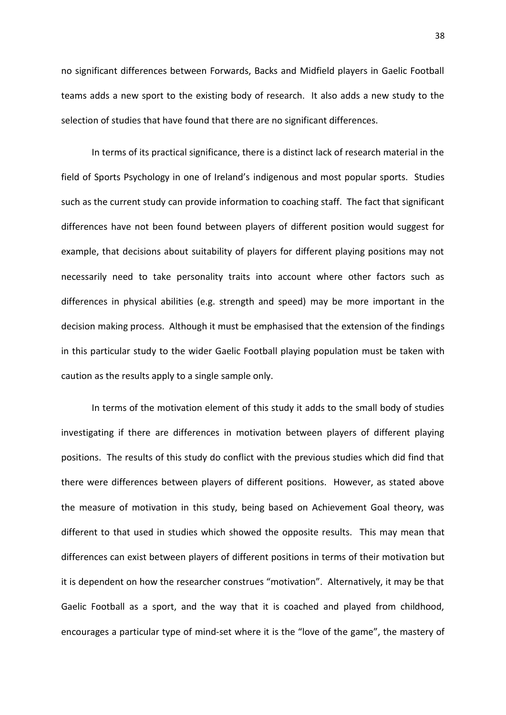no significant differences between Forwards, Backs and Midfield players in Gaelic Football teams adds a new sport to the existing body of research. It also adds a new study to the selection of studies that have found that there are no significant differences.

In terms of its practical significance, there is a distinct lack of research material in the field of Sports Psychology in one of Ireland's indigenous and most popular sports. Studies such as the current study can provide information to coaching staff. The fact that significant differences have not been found between players of different position would suggest for example, that decisions about suitability of players for different playing positions may not necessarily need to take personality traits into account where other factors such as differences in physical abilities (e.g. strength and speed) may be more important in the decision making process. Although it must be emphasised that the extension of the findings in this particular study to the wider Gaelic Football playing population must be taken with caution as the results apply to a single sample only.

In terms of the motivation element of this study it adds to the small body of studies investigating if there are differences in motivation between players of different playing positions. The results of this study do conflict with the previous studies which did find that there were differences between players of different positions. However, as stated above the measure of motivation in this study, being based on Achievement Goal theory, was different to that used in studies which showed the opposite results. This may mean that differences can exist between players of different positions in terms of their motivation but it is dependent on how the researcher construes "motivation". Alternatively, it may be that Gaelic Football as a sport, and the way that it is coached and played from childhood, encourages a particular type of mind-set where it is the "love of the game", the mastery of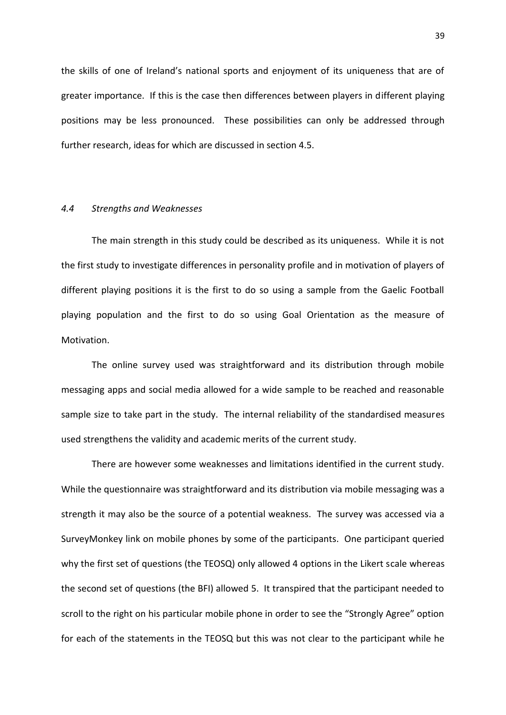the skills of one of Ireland's national sports and enjoyment of its uniqueness that are of greater importance. If this is the case then differences between players in different playing positions may be less pronounced. These possibilities can only be addressed through further research, ideas for which are discussed in section 4.5.

# *4.4 Strengths and Weaknesses*

The main strength in this study could be described as its uniqueness. While it is not the first study to investigate differences in personality profile and in motivation of players of different playing positions it is the first to do so using a sample from the Gaelic Football playing population and the first to do so using Goal Orientation as the measure of Motivation.

The online survey used was straightforward and its distribution through mobile messaging apps and social media allowed for a wide sample to be reached and reasonable sample size to take part in the study. The internal reliability of the standardised measures used strengthens the validity and academic merits of the current study.

There are however some weaknesses and limitations identified in the current study. While the questionnaire was straightforward and its distribution via mobile messaging was a strength it may also be the source of a potential weakness. The survey was accessed via a SurveyMonkey link on mobile phones by some of the participants. One participant queried why the first set of questions (the TEOSQ) only allowed 4 options in the Likert scale whereas the second set of questions (the BFI) allowed 5. It transpired that the participant needed to scroll to the right on his particular mobile phone in order to see the "Strongly Agree" option for each of the statements in the TEOSQ but this was not clear to the participant while he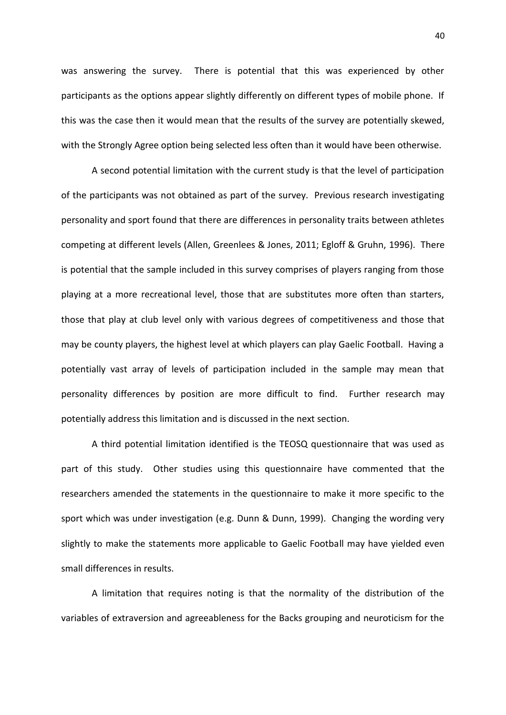was answering the survey. There is potential that this was experienced by other participants as the options appear slightly differently on different types of mobile phone. If this was the case then it would mean that the results of the survey are potentially skewed, with the Strongly Agree option being selected less often than it would have been otherwise.

A second potential limitation with the current study is that the level of participation of the participants was not obtained as part of the survey. Previous research investigating personality and sport found that there are differences in personality traits between athletes competing at different levels (Allen, Greenlees & Jones, 2011; Egloff & Gruhn, 1996). There is potential that the sample included in this survey comprises of players ranging from those playing at a more recreational level, those that are substitutes more often than starters, those that play at club level only with various degrees of competitiveness and those that may be county players, the highest level at which players can play Gaelic Football. Having a potentially vast array of levels of participation included in the sample may mean that personality differences by position are more difficult to find. Further research may potentially address this limitation and is discussed in the next section.

A third potential limitation identified is the TEOSQ questionnaire that was used as part of this study. Other studies using this questionnaire have commented that the researchers amended the statements in the questionnaire to make it more specific to the sport which was under investigation (e.g. Dunn & Dunn, 1999). Changing the wording very slightly to make the statements more applicable to Gaelic Football may have yielded even small differences in results.

A limitation that requires noting is that the normality of the distribution of the variables of extraversion and agreeableness for the Backs grouping and neuroticism for the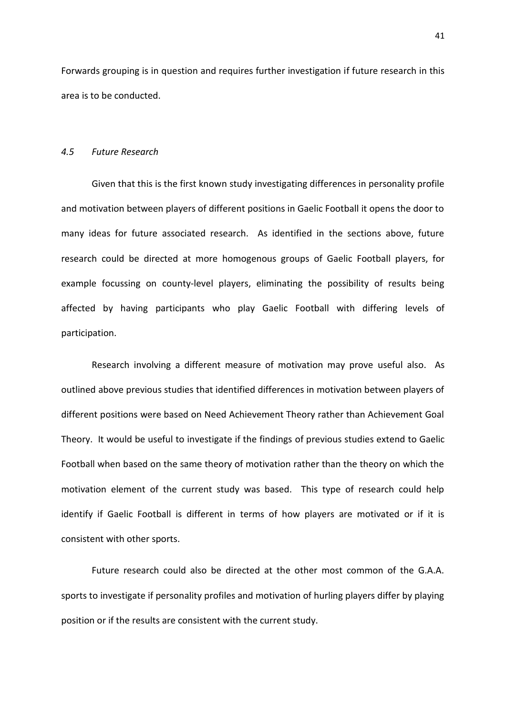Forwards grouping is in question and requires further investigation if future research in this area is to be conducted.

#### *4.5 Future Research*

Given that this is the first known study investigating differences in personality profile and motivation between players of different positions in Gaelic Football it opens the door to many ideas for future associated research. As identified in the sections above, future research could be directed at more homogenous groups of Gaelic Football players, for example focussing on county-level players, eliminating the possibility of results being affected by having participants who play Gaelic Football with differing levels of participation.

Research involving a different measure of motivation may prove useful also. As outlined above previous studies that identified differences in motivation between players of different positions were based on Need Achievement Theory rather than Achievement Goal Theory. It would be useful to investigate if the findings of previous studies extend to Gaelic Football when based on the same theory of motivation rather than the theory on which the motivation element of the current study was based. This type of research could help identify if Gaelic Football is different in terms of how players are motivated or if it is consistent with other sports.

Future research could also be directed at the other most common of the G.A.A. sports to investigate if personality profiles and motivation of hurling players differ by playing position or if the results are consistent with the current study.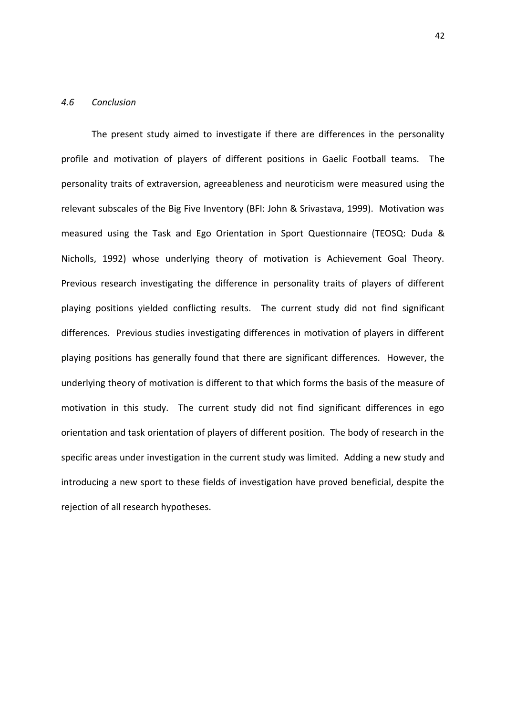#### *4.6 Conclusion*

The present study aimed to investigate if there are differences in the personality profile and motivation of players of different positions in Gaelic Football teams. The personality traits of extraversion, agreeableness and neuroticism were measured using the relevant subscales of the Big Five Inventory (BFI: John & Srivastava, 1999). Motivation was measured using the Task and Ego Orientation in Sport Questionnaire (TEOSQ: Duda & Nicholls, 1992) whose underlying theory of motivation is Achievement Goal Theory. Previous research investigating the difference in personality traits of players of different playing positions yielded conflicting results. The current study did not find significant differences. Previous studies investigating differences in motivation of players in different playing positions has generally found that there are significant differences. However, the underlying theory of motivation is different to that which forms the basis of the measure of motivation in this study. The current study did not find significant differences in ego orientation and task orientation of players of different position. The body of research in the specific areas under investigation in the current study was limited. Adding a new study and introducing a new sport to these fields of investigation have proved beneficial, despite the rejection of all research hypotheses.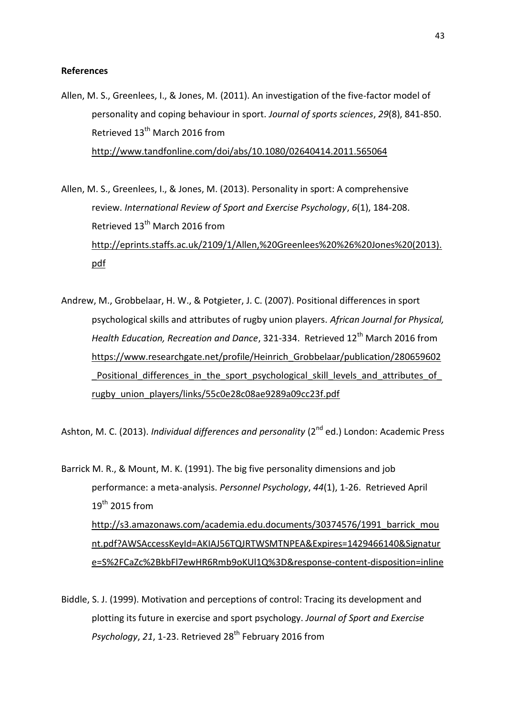# **References**

Allen, M. S., Greenlees, I., & Jones, M. (2011). An investigation of the five-factor model of personality and coping behaviour in sport. *Journal of sports sciences*, *29*(8), 841-850. Retrieved 13<sup>th</sup> March 2016 from http://www.tandfonline.com/doi/abs/10.1080/02640414.2011.565064

Allen, M. S., Greenlees, I., & Jones, M. (2013). Personality in sport: A comprehensive review. *International Review of Sport and Exercise Psychology*, *6*(1), 184-208. Retrieved 13<sup>th</sup> March 2016 from http://eprints.staffs.ac.uk/2109/1/Allen,%20Greenlees%20%26%20Jones%20(2013). pdf

Andrew, M., Grobbelaar, H. W., & Potgieter, J. C. (2007). Positional differences in sport psychological skills and attributes of rugby union players. *African Journal for Physical, Health Education, Recreation and Dance*, 321-334. Retrieved 12<sup>th</sup> March 2016 from https://www.researchgate.net/profile/Heinrich Grobbelaar/publication/280659602 Positional differences in the sport psychological skill levels and attributes of rugby union players/links/55c0e28c08ae9289a09cc23f.pdf

Ashton, M. C. (2013). *Individual differences and personality* (2<sup>nd</sup> ed.) London: Academic Press

Barrick M. R., & Mount, M. K. (1991). The big five personality dimensions and job performance: a meta-analysis. *Personnel Psychology*, *44*(1), 1-26. Retrieved April 19<sup>th</sup> 2015 from http://s3.amazonaws.com/academia.edu.documents/30374576/1991\_barrick\_mou nt.pdf?AWSAccessKeyId=AKIAJ56TQJRTWSMTNPEA&Expires=1429466140&Signatur e=S%2FCaZc%2BkbFl7ewHR6Rmb9oKUl1Q%3D&response-content-disposition=inline

Biddle, S. J. (1999). Motivation and perceptions of control: Tracing its development and plotting its future in exercise and sport psychology. *Journal of Sport and Exercise Psychology, 21, 1-23. Retrieved 28<sup>th</sup> February 2016 from*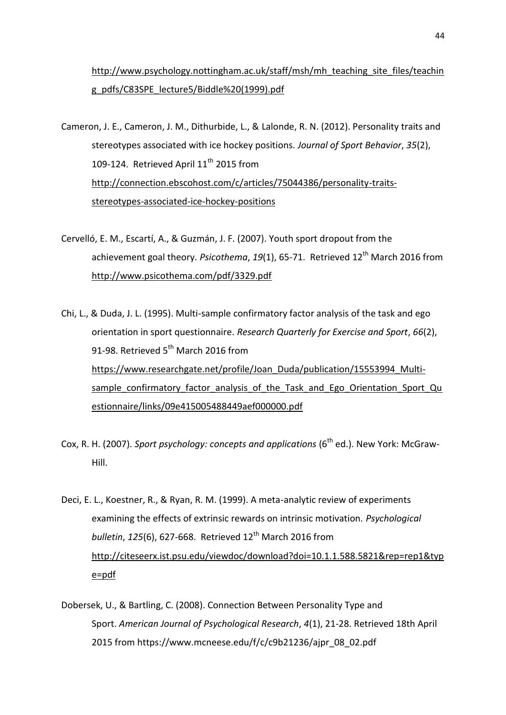http://www.psychology.nottingham.ac.uk/staff/msh/mh\_teaching\_site\_files/teachin g\_pdfs/C83SPE\_lecture5/Biddle%20(1999).pdf

Cameron, J. E., Cameron, J. M., Dithurbide, L., & Lalonde, R. N. (2012). Personality traits and stereotypes associated with ice hockey positions. *Journal of Sport Behavior*, *35*(2), 109-124. Retrieved April 11<sup>th</sup> 2015 from http://connection.ebscohost.com/c/articles/75044386/personality-traits stereotypes-associated-ice-hockey-positions

- Cervelló, E. M., Escartí, A., & Guzmán, J. F. (2007). Youth sport dropout from the achievement goal theory. *Psicothema*, 19(1), 65-71. Retrieved 12<sup>th</sup> March 2016 from http://www.psicothema.com/pdf/3329.pdf
- Chi, L., & Duda, J. L. (1995). Multi-sample confirmatory factor analysis of the task and ego orientation in sport questionnaire. *Research Quarterly for Exercise and Sport*, *66*(2), 91-98. Retrieved  $5^{th}$  March 2016 from https://www.researchgate.net/profile/Joan\_Duda/publication/15553994\_Multi sample\_confirmatory\_factor\_analysis\_of\_the\_Task\_and\_Ego\_Orientation\_Sport\_Qu estionnaire/links/09e415005488449aef000000.pdf
- Cox, R. H. (2007). *Sport psychology: concepts and applications* (6<sup>th</sup> ed.). New York: McGraw-Hill.
- Deci, E. L., Koestner, R., & Ryan, R. M. (1999). A meta-analytic review of experiments examining the effects of extrinsic rewards on intrinsic motivation. *Psychological bulletin, 125(6), 627-668. Retrieved 12<sup>th</sup> March 2016 from* http://citeseerx.ist.psu.edu/viewdoc/download?doi=10.1.1.588.5821&rep=rep1&typ e=pdf
- Dobersek, U., & Bartling, C. (2008). Connection Between Personality Type and Sport. *American Journal of Psychological Research*, *4*(1), 21-28. Retrieved 18th April 2015 from https://www.mcneese.edu/f/c/c9b21236/ajpr\_08\_02.pdf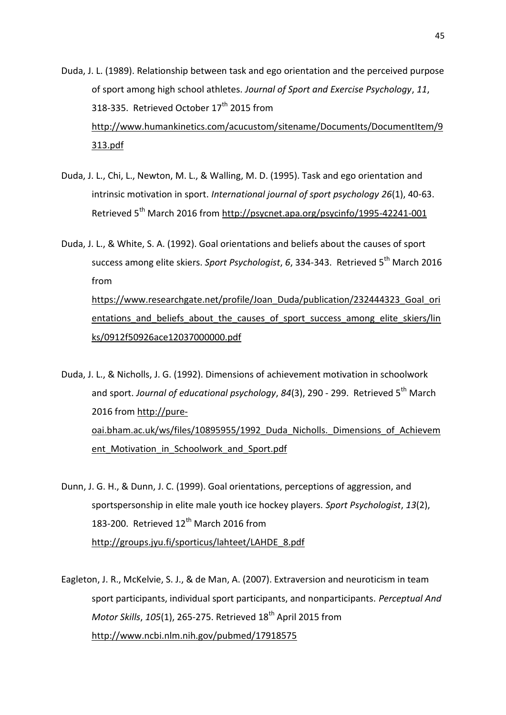- Duda, J. L. (1989). Relationship between task and ego orientation and the perceived purpose of sport among high school athletes. *Journal of Sport and Exercise Psychology*, *11*, 318-335. Retrieved October 17<sup>th</sup> 2015 from http://www.humankinetics.com/acucustom/sitename/Documents/DocumentItem/9 313.pdf
- Duda, J. L., Chi, L., Newton, M. L., & Walling, M. D. (1995). Task and ego orientation and intrinsic motivation in sport. *International journal of sport psychology 26*(1), 40-63. Retrieved 5th March 2016 from http://psycnet.apa.org/psycinfo/1995-42241-001

Duda, J. L., & White, S. A. (1992). Goal orientations and beliefs about the causes of sport success among elite skiers. Sport Psychologist, 6, 334-343. Retrieved 5<sup>th</sup> March 2016 from https://www.researchgate.net/profile/Joan\_Duda/publication/232444323\_Goal\_ori entations and beliefs about the causes of sport success among elite skiers/lin ks/0912f50926ace12037000000.pdf

Duda, J. L., & Nicholls, J. G. (1992). Dimensions of achievement motivation in schoolwork and sport. Journal of educational psychology, 84(3), 290 - 299. Retrieved 5<sup>th</sup> March 2016 from http://pure oai.bham.ac.uk/ws/files/10895955/1992 Duda Nicholls. Dimensions of Achievem ent Motivation in Schoolwork and Sport.pdf

- Dunn, J. G. H., & Dunn, J. C. (1999). Goal orientations, perceptions of aggression, and sportspersonship in elite male youth ice hockey players. *Sport Psychologist*, *13*(2), 183-200. Retrieved 12<sup>th</sup> March 2016 from http://groups.jyu.fi/sporticus/lahteet/LAHDE\_8.pdf
- Eagleton, J. R., McKelvie, S. J., & de Man, A. (2007). Extraversion and neuroticism in team sport participants, individual sport participants, and nonparticipants. *Perceptual And Motor Skills*, *105*(1), 265-275. Retrieved 18th April 2015 from http://www.ncbi.nlm.nih.gov/pubmed/17918575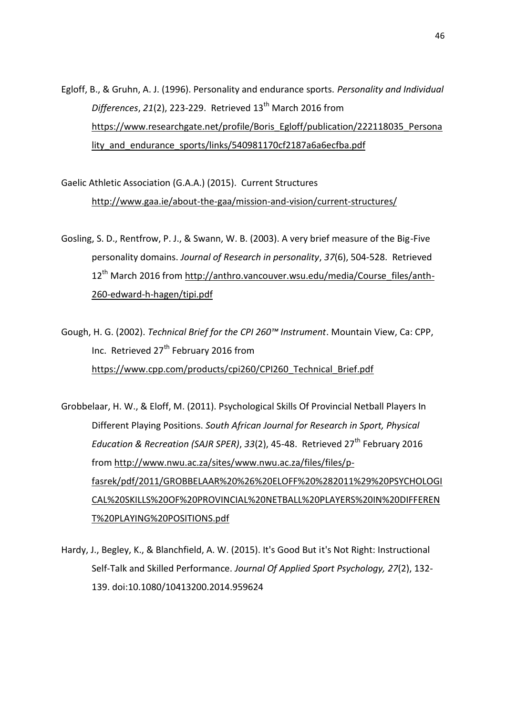Egloff, B., & Gruhn, A. J. (1996). Personality and endurance sports. *Personality and Individual Differences*, *21*(2), 223-229. Retrieved 13th March 2016 from https://www.researchgate.net/profile/Boris\_Egloff/publication/222118035\_Persona lity and endurance sports/links/540981170cf2187a6a6ecfba.pdf

Gaelic Athletic Association (G.A.A.) (2015). Current Structures http://www.gaa.ie/about-the-gaa/mission-and-vision/current-structures/

Gosling, S. D., Rentfrow, P. J., & Swann, W. B. (2003). A very brief measure of the Big-Five personality domains. *Journal of Research in personality*, *37*(6), 504-528. Retrieved 12<sup>th</sup> March 2016 from http://anthro.vancouver.wsu.edu/media/Course\_files/anth-260-edward-h-hagen/tipi.pdf

Gough, H. G. (2002). *Technical Brief for the CPI 260™ Instrument*. Mountain View, Ca: CPP, Inc. Retrieved 27<sup>th</sup> February 2016 from https://www.cpp.com/products/cpi260/CPI260\_Technical\_Brief.pdf

Grobbelaar, H. W., & Eloff, M. (2011). Psychological Skills Of Provincial Netball Players In Different Playing Positions. *South African Journal for Research in Sport, Physical Education & Recreation (SAJR SPER)*, *33*(2), 45-48. Retrieved 27th February 2016 from http://www.nwu.ac.za/sites/www.nwu.ac.za/files/files/pfasrek/pdf/2011/GROBBELAAR%20%26%20ELOFF%20%282011%29%20PSYCHOLOGI CAL%20SKILLS%20OF%20PROVINCIAL%20NETBALL%20PLAYERS%20IN%20DIFFEREN T%20PLAYING%20POSITIONS.pdf

Hardy, J., Begley, K., & Blanchfield, A. W. (2015). It's Good But it's Not Right: Instructional Self-Talk and Skilled Performance. *Journal Of Applied Sport Psychology, 27*(2), 132- 139. doi:10.1080/10413200.2014.959624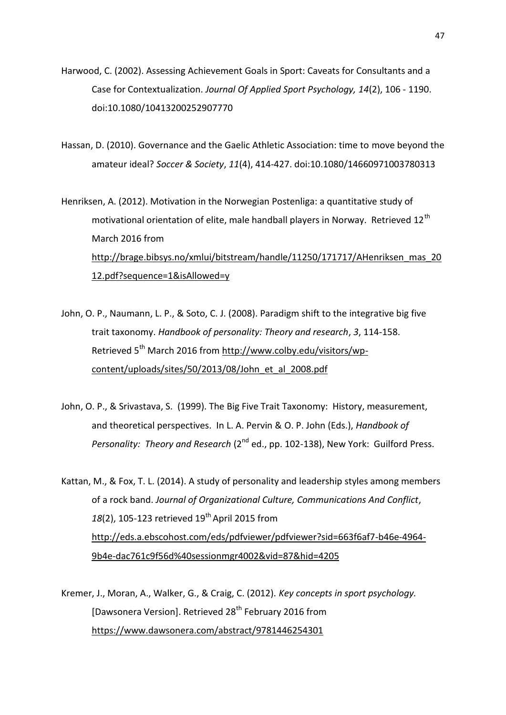- Harwood, C. (2002). Assessing Achievement Goals in Sport: Caveats for Consultants and a Case for Contextualization. *Journal Of Applied Sport Psychology, 14*(2), 106 - 1190. doi:10.1080/10413200252907770
- Hassan, D. (2010). Governance and the Gaelic Athletic Association: time to move beyond the amateur ideal? *Soccer & Society*, *11*(4), 414-427. doi:10.1080/14660971003780313
- Henriksen, A. (2012). Motivation in the Norwegian Postenliga: a quantitative study of motivational orientation of elite, male handball players in Norway. Retrieved 12<sup>th</sup> March 2016 from http://brage.bibsys.no/xmlui/bitstream/handle/11250/171717/AHenriksen\_mas\_20 12.pdf?sequence=1&isAllowed=y
- John, O. P., Naumann, L. P., & Soto, C. J. (2008). Paradigm shift to the integrative big five trait taxonomy. *Handbook of personality: Theory and research*, *3*, 114-158. Retrieved 5<sup>th</sup> March 2016 from http://www.colby.edu/visitors/wpcontent/uploads/sites/50/2013/08/John\_et\_al\_2008.pdf
- John, O. P., & Srivastava, S. (1999). The Big Five Trait Taxonomy: History, measurement, and theoretical perspectives. In L. A. Pervin & O. P. John (Eds.), *Handbook of Personality: Theory and Research* (2<sup>nd</sup> ed., pp. 102-138), New York: Guilford Press.

Kattan, M., & Fox, T. L. (2014). A study of personality and leadership styles among members of a rock band. *Journal of Organizational Culture, Communications And Conflict*, 18(2), 105-123 retrieved 19<sup>th</sup> April 2015 from http://eds.a.ebscohost.com/eds/pdfviewer/pdfviewer?sid=663f6af7-b46e-4964- 9b4e-dac761c9f56d%40sessionmgr4002&vid=87&hid=4205

Kremer, J., Moran, A., Walker, G., & Craig, C. (2012). *Key concepts in sport psychology.* [Dawsonera Version]. Retrieved 28<sup>th</sup> February 2016 from https://www.dawsonera.com/abstract/9781446254301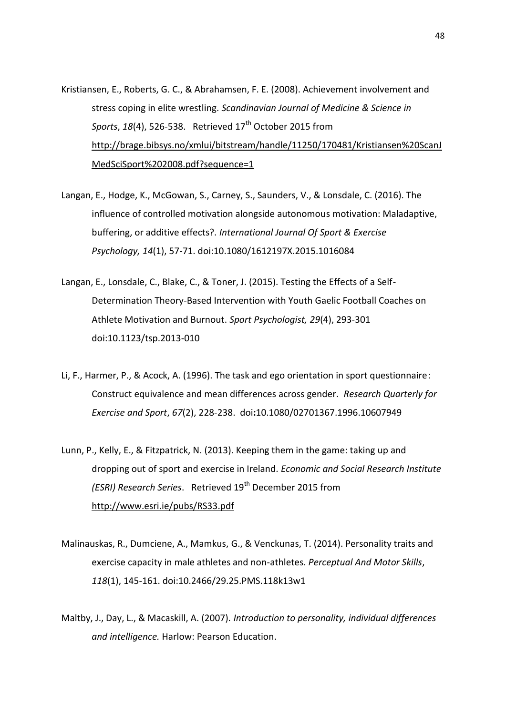- Kristiansen, E., Roberts, G. C., & Abrahamsen, F. E. (2008). Achievement involvement and stress coping in elite wrestling. *Scandinavian Journal of Medicine & Science in Sports*, 18(4), 526-538. Retrieved 17<sup>th</sup> October 2015 from http://brage.bibsys.no/xmlui/bitstream/handle/11250/170481/Kristiansen%20ScanJ MedSciSport%202008.pdf?sequence=1
- Langan, E., Hodge, K., McGowan, S., Carney, S., Saunders, V., & Lonsdale, C. (2016). The influence of controlled motivation alongside autonomous motivation: Maladaptive, buffering, or additive effects?. *International Journal Of Sport & Exercise Psychology, 14*(1), 57-71. doi:10.1080/1612197X.2015.1016084
- Langan, E., Lonsdale, C., Blake, C., & Toner, J. (2015). Testing the Effects of a Self- Determination Theory-Based Intervention with Youth Gaelic Football Coaches on Athlete Motivation and Burnout. *Sport Psychologist, 29*(4), 293-301 doi:10.1123/tsp.2013-010
- Li, F., Harmer, P., & Acock, A. (1996). The task and ego orientation in sport questionnaire: Construct equivalence and mean differences across gender. *Research Quarterly for Exercise and Sport*, *67*(2), 228-238. doi**:**10.1080/02701367.1996.10607949
- Lunn, P., Kelly, E., & Fitzpatrick, N. (2013). Keeping them in the game: taking up and dropping out of sport and exercise in Ireland. *Economic and Social Research Institute (ESRI) Research Series.* Retrieved 19<sup>th</sup> December 2015 from http://www.esri.ie/pubs/RS33.pdf
- Malinauskas, R., Dumciene, A., Mamkus, G., & Venckunas, T. (2014). Personality traits and exercise capacity in male athletes and non-athletes. *Perceptual And Motor Skills*, *118*(1), 145-161. doi:10.2466/29.25.PMS.118k13w1
- Maltby, J., Day, L., & Macaskill, A. (2007). *Introduction to personality, individual differences and intelligence.* Harlow: Pearson Education.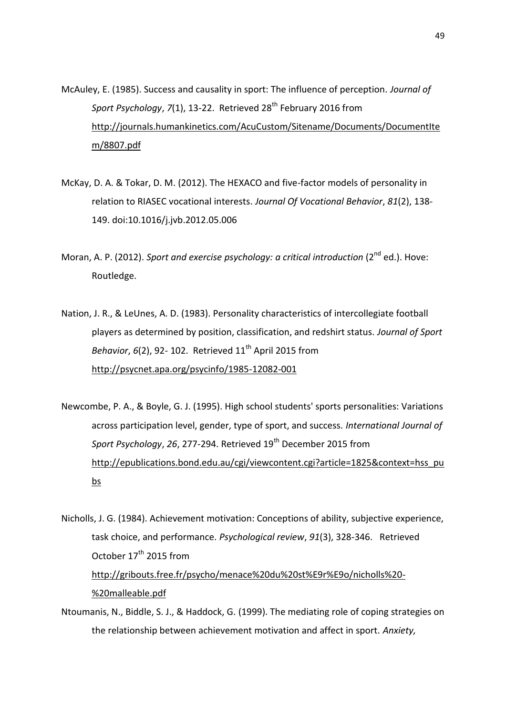- McAuley, E. (1985). Success and causality in sport: The influence of perception. *Journal of Sport Psychology, 7*(1), 13-22. Retrieved 28<sup>th</sup> February 2016 from http://journals.humankinetics.com/AcuCustom/Sitename/Documents/DocumentIte m/8807.pdf
- McKay, D. A. & Tokar, D. M. (2012). The HEXACO and five-factor models of personality in relation to RIASEC vocational interests. *Journal Of Vocational Behavior*, *81*(2), 138- 149. doi:10.1016/j.jvb.2012.05.006
- Moran, A. P. (2012). *Sport and exercise psychology: a critical introduction* (2nd ed.). Hove: Routledge.
- Nation, J. R., & LeUnes, A. D. (1983). Personality characteristics of intercollegiate football players as determined by position, classification, and redshirt status. *Journal of Sport Behavior, 6*(2), 92-102. Retrieved 11<sup>th</sup> April 2015 from http://psycnet.apa.org/psycinfo/1985-12082-001
- Newcombe, P. A., & Boyle, G. J. (1995). High school students' sports personalities: Variations across participation level, gender, type of sport, and success. *International Journal of Sport Psychology*, *26*, 277-294. Retrieved 19th December 2015 from http://epublications.bond.edu.au/cgi/viewcontent.cgi?article=1825&context=hss\_pu bs
- Nicholls, J. G. (1984). Achievement motivation: Conceptions of ability, subjective experience, task choice, and performance. *Psychological review*, *91*(3), 328-346. Retrieved October 17<sup>th</sup> 2015 from http://gribouts.free.fr/psycho/menace%20du%20st%E9r%E9o/nicholls%20- %20malleable.pdf
- Ntoumanis, N., Biddle, S. J., & Haddock, G. (1999). The mediating role of coping strategies on the relationship between achievement motivation and affect in sport. *Anxiety,*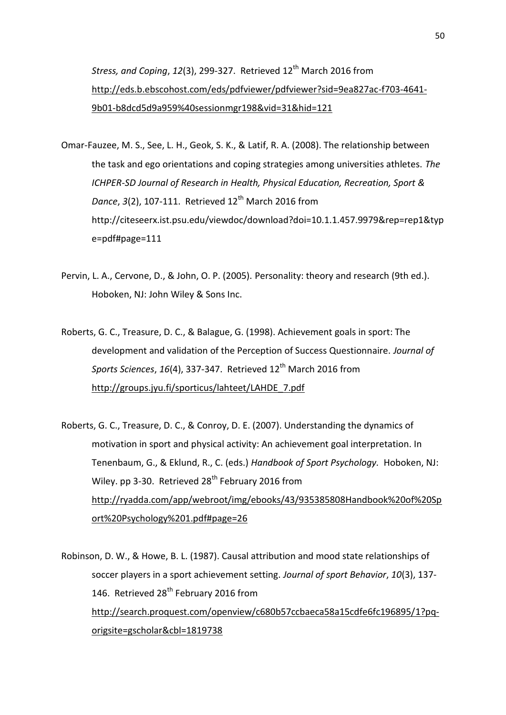*Stress, and Coping, 12(3), 299-327. Retrieved 12<sup>th</sup> March 2016 from* http://eds.b.ebscohost.com/eds/pdfviewer/pdfviewer?sid=9ea827ac-f703-4641- 9b01-b8dcd5d9a959%40sessionmgr198&vid=31&hid=121

- Omar-Fauzee, M. S., See, L. H., Geok, S. K., & Latif, R. A. (2008). The relationship between the task and ego orientations and coping strategies among universities athletes. *The ICHPER-SD Journal of Research in Health, Physical Education, Recreation, Sport & Dance*, *3*(2), 107-111. Retrieved 12<sup>th</sup> March 2016 from http://citeseerx.ist.psu.edu/viewdoc/download?doi=10.1.1.457.9979&rep=rep1&typ e=pdf#page=111
- Pervin, L. A., Cervone, D., & John, O. P. (2005). Personality: theory and research (9th ed.). Hoboken, NJ: John Wiley & Sons Inc.
- Roberts, G. C., Treasure, D. C., & Balague, G. (1998). Achievement goals in sport: The development and validation of the Perception of Success Questionnaire. *Journal of Sports Sciences, 16*(4), 337-347. Retrieved 12<sup>th</sup> March 2016 from http://groups.jyu.fi/sporticus/lahteet/LAHDE\_7.pdf
- Roberts, G. C., Treasure, D. C., & Conroy, D. E. (2007). Understanding the dynamics of motivation in sport and physical activity: An achievement goal interpretation. In Tenenbaum, G., & Eklund, R., C. (eds.) *Handbook of Sport Psychology.* Hoboken, NJ: Wiley. pp 3-30. Retrieved  $28<sup>th</sup>$  February 2016 from http://ryadda.com/app/webroot/img/ebooks/43/935385808Handbook%20of%20Sp ort%20Psychology%201.pdf#page=26

Robinson, D. W., & Howe, B. L. (1987). Causal attribution and mood state relationships of soccer players in a sport achievement setting. *Journal of sport Behavior*, *10*(3), 137- 146. Retrieved 28<sup>th</sup> February 2016 from http://search.proquest.com/openview/c680b57ccbaeca58a15cdfe6fc196895/1?pq origsite=gscholar&cbl=1819738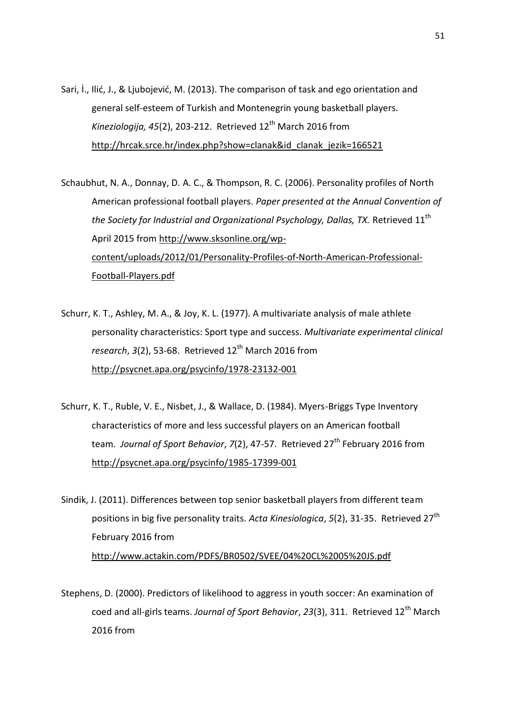Sari, İ., Ilić, J., & Ljubojević, M. (2013). The comparison of task and ego orientation and general self-esteem of Turkish and Montenegrin young basketball players. *Kineziologija, 45*(2), 203-212. Retrieved 12th March 2016 from http://hrcak.srce.hr/index.php?show=clanak&id\_clanak\_jezik=166521

Schaubhut, N. A., Donnay, D. A. C., & Thompson, R. C. (2006). Personality profiles of North American professional football players. *Paper presented at the Annual Convention of the Society for Industrial and Organizational Psychology, Dallas, TX.* Retrieved 11th April 2015 from http://www.sksonline.org/wp content/uploads/2012/01/Personality-Profiles-of-North-American-Professional- Football-Players.pdf

- Schurr, K. T., Ashley, M. A., & Joy, K. L. (1977). A multivariate analysis of male athlete personality characteristics: Sport type and success. *Multivariate experimental clinical* research, 3(2), 53-68. Retrieved 12<sup>th</sup> March 2016 from http://psycnet.apa.org/psycinfo/1978-23132-001
- Schurr, K. T., Ruble, V. E., Nisbet, J., & Wallace, D. (1984). Myers-Briggs Type Inventory characteristics of more and less successful players on an American football team. *Journal of Sport Behavior*, *7*(2), 47-57. Retrieved 27th February 2016 from http://psycnet.apa.org/psycinfo/1985-17399-001

Sindik, J. (2011). Differences between top senior basketball players from different team positions in big five personality traits. *Acta Kinesiologica*, *5*(2), 31-35. Retrieved 27th February 2016 from http://www.actakin.com/PDFS/BR0502/SVEE/04%20CL%2005%20JS.pdf

Stephens, D. (2000). Predictors of likelihood to aggress in youth soccer: An examination of coed and all-girls teams. *Journal of Sport Behavior*, *23*(3), 311. Retrieved 12th March 2016 from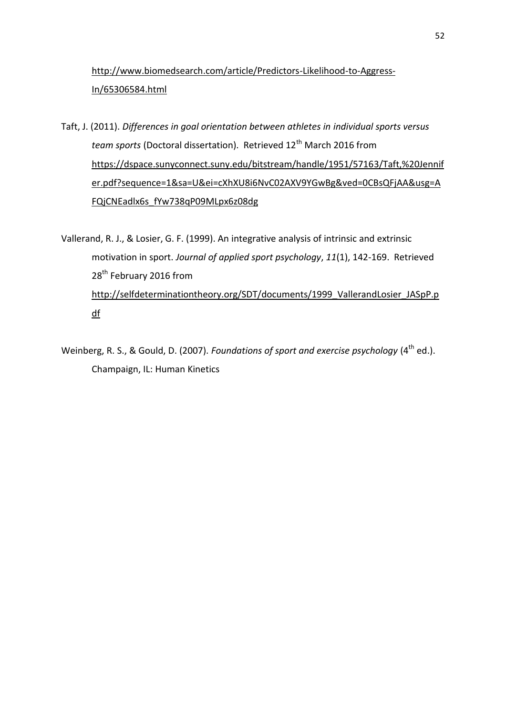# http://www.biomedsearch.com/article/Predictors-Likelihood-to-Aggress-In/65306584.html

Taft, J. (2011). *Differences in goal orientation between athletes in individual sports versus team sports* (Doctoral dissertation). Retrieved 12<sup>th</sup> March 2016 from https://dspace.sunyconnect.suny.edu/bitstream/handle/1951/57163/Taft,%20Jennif er.pdf?sequence=1&sa=U&ei=cXhXU8i6NvC02AXV9YGwBg&ved=0CBsQFjAA&usg=A FQjCNEadlx6s\_fYw738qP09MLpx6z08dg

Vallerand, R. J., & Losier, G. F. (1999). An integrative analysis of intrinsic and extrinsic motivation in sport. *Journal of applied sport psychology*, *11*(1), 142-169. Retrieved 28<sup>th</sup> February 2016 from http://selfdeterminationtheory.org/SDT/documents/1999\_VallerandLosier\_JASpP.p df

Weinberg, R. S., & Gould, D. (2007). *Foundations of sport and exercise psychology* (4<sup>th</sup> ed.). Champaign, IL: Human Kinetics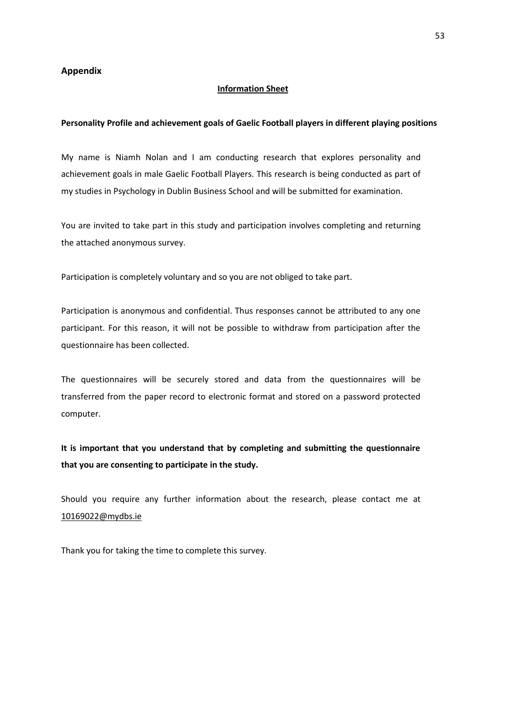# **Appendix**

#### **Information Sheet**

#### **Personality Profile and achievement goals of Gaelic Football players in different playing positions**

My name is Niamh Nolan and I am conducting research that explores personality and achievement goals in male Gaelic Football Players. This research is being conducted as part of my studies in Psychology in Dublin Business School and will be submitted for examination.

You are invited to take part in this study and participation involves completing and returning the attached anonymous survey.

Participation is completely voluntary and so you are not obliged to take part.

Participation is anonymous and confidential. Thus responses cannot be attributed to any one participant. For this reason, it will not be possible to withdraw from participation after the questionnaire has been collected.

The questionnaires will be securely stored and data from the questionnaires will be transferred from the paper record to electronic format and stored on a password protected computer.

**It is important that you understand that by completing and submitting the questionnaire that you are consenting to participate in the study.**

Should you require any further information about the research, please contact me at 10169022@mydbs.ie

Thank you for taking the time to complete this survey.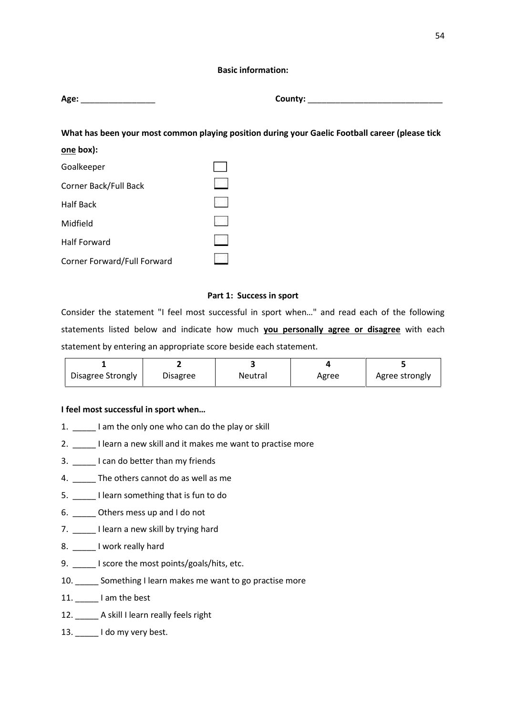# **Basic information:**

**Age:** \_\_\_\_\_\_\_\_\_\_\_\_\_\_\_\_ **County:** \_\_\_\_\_\_\_\_\_\_\_\_\_\_\_\_\_\_\_\_\_\_\_\_\_\_\_\_\_

**What has been your most common playing position during your Gaelic Football career (please tick one box):**

| Goalkeeper                  |  |
|-----------------------------|--|
| Corner Back/Full Back       |  |
| <b>Half Back</b>            |  |
| Midfield                    |  |
| <b>Half Forward</b>         |  |
| Corner Forward/Full Forward |  |

# **Part 1: Success in sport**

Consider the statement "I feel most successful in sport when…" and read each of the following statements listed below and indicate how much **you personally agree or disagree** with each statement by entering an appropriate score beside each statement.

| Disagree Strongly | Disagree | Neutral | Agree | Agree strongly |
|-------------------|----------|---------|-------|----------------|

# **I feel most successful in sport when…**

- 1. I am the only one who can do the play or skill
- 2. I learn a new skill and it makes me want to practise more
- 3. \_\_\_\_\_ I can do better than my friends
- 4. \_\_\_\_\_ The others cannot do as well as me
- 5. \_\_\_\_\_ I learn something that is fun to do
- 6. \_\_\_\_\_ Others mess up and I do not
- 7. \_\_\_\_\_\_ I learn a new skill by trying hard
- 8. \_\_\_\_\_\_ I work really hard
- 9. I score the most points/goals/hits, etc.
- 10. \_\_\_\_\_ Something I learn makes me want to go practise more
- 11. \_\_\_\_\_\_\_ I am the best
- 12. \_\_\_\_\_\_ A skill I learn really feels right
- 13. I do my very best.